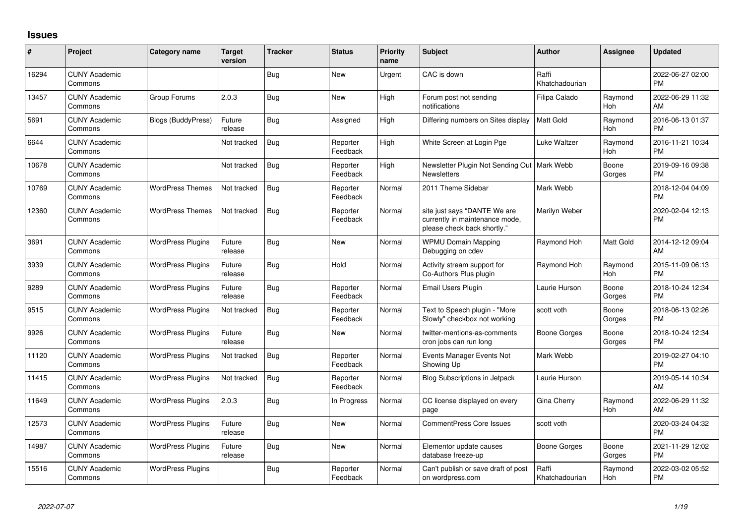## **Issues**

| #     | Project                         | <b>Category name</b>      | <b>Target</b><br>version | <b>Tracker</b> | <b>Status</b>        | <b>Priority</b><br>name | Subject                                                                                       | Author                  | <b>Assignee</b> | <b>Updated</b>                |
|-------|---------------------------------|---------------------------|--------------------------|----------------|----------------------|-------------------------|-----------------------------------------------------------------------------------------------|-------------------------|-----------------|-------------------------------|
| 16294 | <b>CUNY Academic</b><br>Commons |                           |                          | <b>Bug</b>     | <b>New</b>           | Urgent                  | CAC is down                                                                                   | Raffi<br>Khatchadourian |                 | 2022-06-27 02:00<br><b>PM</b> |
| 13457 | <b>CUNY Academic</b><br>Commons | Group Forums              | 2.0.3                    | <b>Bug</b>     | New                  | High                    | Forum post not sending<br>notifications                                                       | Filipa Calado           | Raymond<br>Hoh  | 2022-06-29 11:32<br>AM        |
| 5691  | <b>CUNY Academic</b><br>Commons | <b>Blogs (BuddyPress)</b> | Future<br>release        | <b>Bug</b>     | Assigned             | High                    | Differing numbers on Sites display                                                            | Matt Gold               | Raymond<br>Hoh  | 2016-06-13 01:37<br><b>PM</b> |
| 6644  | <b>CUNY Academic</b><br>Commons |                           | Not tracked              | Bug            | Reporter<br>Feedback | High                    | White Screen at Login Pge                                                                     | <b>Luke Waltzer</b>     | Raymond<br>Hoh  | 2016-11-21 10:34<br><b>PM</b> |
| 10678 | <b>CUNY Academic</b><br>Commons |                           | Not tracked              | <b>Bug</b>     | Reporter<br>Feedback | High                    | Newsletter Plugin Not Sending Out   Mark Webb<br><b>Newsletters</b>                           |                         | Boone<br>Gorges | 2019-09-16 09:38<br><b>PM</b> |
| 10769 | <b>CUNY Academic</b><br>Commons | <b>WordPress Themes</b>   | Not tracked              | Bug            | Reporter<br>Feedback | Normal                  | 2011 Theme Sidebar                                                                            | Mark Webb               |                 | 2018-12-04 04:09<br><b>PM</b> |
| 12360 | <b>CUNY Academic</b><br>Commons | <b>WordPress Themes</b>   | Not tracked              | Bug            | Reporter<br>Feedback | Normal                  | site just says "DANTE We are<br>currently in maintenance mode,<br>please check back shortly." | Marilyn Weber           |                 | 2020-02-04 12:13<br><b>PM</b> |
| 3691  | <b>CUNY Academic</b><br>Commons | <b>WordPress Plugins</b>  | Future<br>release        | <b>Bug</b>     | New                  | Normal                  | <b>WPMU Domain Mapping</b><br>Debugging on cdev                                               | Raymond Hoh             | Matt Gold       | 2014-12-12 09:04<br>AM        |
| 3939  | <b>CUNY Academic</b><br>Commons | <b>WordPress Plugins</b>  | Future<br>release        | <b>Bug</b>     | Hold                 | Normal                  | Activity stream support for<br>Co-Authors Plus plugin                                         | Raymond Hoh             | Raymond<br>Hoh  | 2015-11-09 06:13<br><b>PM</b> |
| 9289  | <b>CUNY Academic</b><br>Commons | <b>WordPress Plugins</b>  | Future<br>release        | Bug            | Reporter<br>Feedback | Normal                  | Email Users Plugin                                                                            | Laurie Hurson           | Boone<br>Gorges | 2018-10-24 12:34<br><b>PM</b> |
| 9515  | <b>CUNY Academic</b><br>Commons | <b>WordPress Plugins</b>  | Not tracked              | Bug            | Reporter<br>Feedback | Normal                  | Text to Speech plugin - "More<br>Slowly" checkbox not working                                 | scott voth              | Boone<br>Gorges | 2018-06-13 02:26<br><b>PM</b> |
| 9926  | <b>CUNY Academic</b><br>Commons | <b>WordPress Plugins</b>  | Future<br>release        | <b>Bug</b>     | New                  | Normal                  | twitter-mentions-as-comments<br>cron jobs can run long                                        | Boone Gorges            | Boone<br>Gorges | 2018-10-24 12:34<br><b>PM</b> |
| 11120 | <b>CUNY Academic</b><br>Commons | <b>WordPress Plugins</b>  | Not tracked              | Bug            | Reporter<br>Feedback | Normal                  | Events Manager Events Not<br>Showing Up                                                       | Mark Webb               |                 | 2019-02-27 04:10<br><b>PM</b> |
| 11415 | <b>CUNY Academic</b><br>Commons | <b>WordPress Plugins</b>  | Not tracked              | Bug            | Reporter<br>Feedback | Normal                  | Blog Subscriptions in Jetpack                                                                 | Laurie Hurson           |                 | 2019-05-14 10:34<br>AM        |
| 11649 | <b>CUNY Academic</b><br>Commons | <b>WordPress Plugins</b>  | 2.0.3                    | Bug            | In Progress          | Normal                  | CC license displayed on every<br>page                                                         | Gina Cherry             | Raymond<br>Hoh  | 2022-06-29 11:32<br>AM        |
| 12573 | <b>CUNY Academic</b><br>Commons | <b>WordPress Plugins</b>  | Future<br>release        | <b>Bug</b>     | <b>New</b>           | Normal                  | <b>CommentPress Core Issues</b>                                                               | scott voth              |                 | 2020-03-24 04:32<br><b>PM</b> |
| 14987 | <b>CUNY Academic</b><br>Commons | <b>WordPress Plugins</b>  | Future<br>release        | Bug            | New                  | Normal                  | Elementor update causes<br>database freeze-up                                                 | Boone Gorges            | Boone<br>Gorges | 2021-11-29 12:02<br><b>PM</b> |
| 15516 | <b>CUNY Academic</b><br>Commons | <b>WordPress Plugins</b>  |                          | <b>Bug</b>     | Reporter<br>Feedback | Normal                  | Can't publish or save draft of post<br>on wordpress.com                                       | Raffi<br>Khatchadourian | Raymond<br>Hoh  | 2022-03-02 05:52<br><b>PM</b> |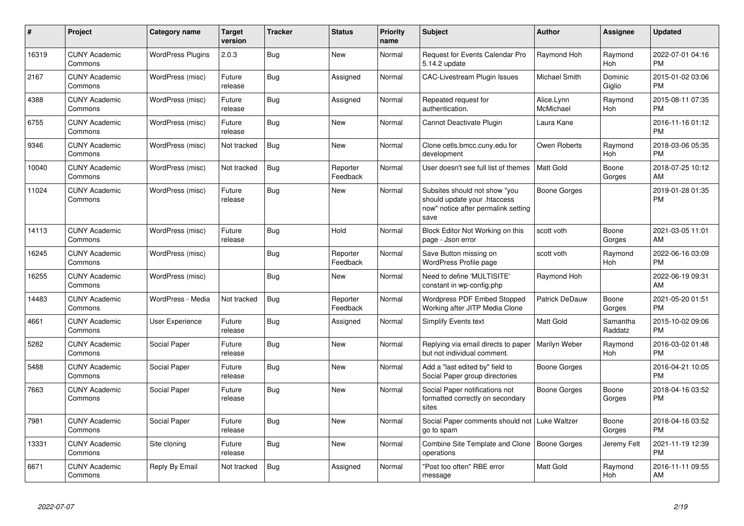| $\#$  | Project                         | <b>Category name</b>     | <b>Target</b><br>version | <b>Tracker</b> | <b>Status</b>        | <b>Priority</b><br>name | <b>Subject</b>                                                                                               | <b>Author</b>           | <b>Assignee</b>     | <b>Updated</b>                |
|-------|---------------------------------|--------------------------|--------------------------|----------------|----------------------|-------------------------|--------------------------------------------------------------------------------------------------------------|-------------------------|---------------------|-------------------------------|
| 16319 | <b>CUNY Academic</b><br>Commons | <b>WordPress Plugins</b> | 2.0.3                    | <b>Bug</b>     | <b>New</b>           | Normal                  | <b>Request for Events Calendar Pro</b><br>5.14.2 update                                                      | Raymond Hoh             | Raymond<br>Hoh      | 2022-07-01 04:16<br><b>PM</b> |
| 2167  | <b>CUNY Academic</b><br>Commons | WordPress (misc)         | Future<br>release        | Bug            | Assigned             | Normal                  | <b>CAC-Livestream Plugin Issues</b>                                                                          | <b>Michael Smith</b>    | Dominic<br>Giglio   | 2015-01-02 03:06<br><b>PM</b> |
| 4388  | <b>CUNY Academic</b><br>Commons | WordPress (misc)         | Future<br>release        | Bug            | Assigned             | Normal                  | Repeated request for<br>authentication.                                                                      | Alice.Lynn<br>McMichael | Raymond<br>Hoh      | 2015-08-11 07:35<br><b>PM</b> |
| 6755  | <b>CUNY Academic</b><br>Commons | WordPress (misc)         | Future<br>release        | Bug            | <b>New</b>           | Normal                  | Cannot Deactivate Plugin                                                                                     | Laura Kane              |                     | 2016-11-16 01:12<br><b>PM</b> |
| 9346  | <b>CUNY Academic</b><br>Commons | WordPress (misc)         | Not tracked              | <b>Bug</b>     | New                  | Normal                  | Clone cetls.bmcc.cuny.edu for<br>development                                                                 | Owen Roberts            | Raymond<br>Hoh      | 2018-03-06 05:35<br><b>PM</b> |
| 10040 | <b>CUNY Academic</b><br>Commons | WordPress (misc)         | Not tracked              | <b>Bug</b>     | Reporter<br>Feedback | Normal                  | User doesn't see full list of themes                                                                         | <b>Matt Gold</b>        | Boone<br>Gorges     | 2018-07-25 10:12<br>AM        |
| 11024 | <b>CUNY Academic</b><br>Commons | WordPress (misc)         | Future<br>release        | <b>Bug</b>     | <b>New</b>           | Normal                  | Subsites should not show "you<br>should update your .htaccess<br>now" notice after permalink setting<br>save | Boone Gorges            |                     | 2019-01-28 01:35<br><b>PM</b> |
| 14113 | <b>CUNY Academic</b><br>Commons | WordPress (misc)         | Future<br>release        | <b>Bug</b>     | Hold                 | Normal                  | Block Editor Not Working on this<br>page - Json error                                                        | scott voth              | Boone<br>Gorges     | 2021-03-05 11:01<br>AM        |
| 16245 | <b>CUNY Academic</b><br>Commons | WordPress (misc)         |                          | Bug            | Reporter<br>Feedback | Normal                  | Save Button missing on<br>WordPress Profile page                                                             | scott voth              | Raymond<br>Hoh      | 2022-06-16 03:09<br><b>PM</b> |
| 16255 | <b>CUNY Academic</b><br>Commons | WordPress (misc)         |                          | Bug            | New                  | Normal                  | Need to define 'MULTISITE'<br>constant in wp-config.php                                                      | Raymond Hoh             |                     | 2022-06-19 09:31<br>AM        |
| 14483 | <b>CUNY Academic</b><br>Commons | WordPress - Media        | Not tracked              | <b>Bug</b>     | Reporter<br>Feedback | Normal                  | <b>Wordpress PDF Embed Stopped</b><br>Working after JITP Media Clone                                         | Patrick DeDauw          | Boone<br>Gorges     | 2021-05-20 01:51<br><b>PM</b> |
| 4661  | <b>CUNY Academic</b><br>Commons | User Experience          | Future<br>release        | Bug            | Assigned             | Normal                  | <b>Simplify Events text</b>                                                                                  | <b>Matt Gold</b>        | Samantha<br>Raddatz | 2015-10-02 09:06<br><b>PM</b> |
| 5282  | <b>CUNY Academic</b><br>Commons | Social Paper             | Future<br>release        | <b>Bug</b>     | <b>New</b>           | Normal                  | Replying via email directs to paper<br>but not individual comment.                                           | Marilyn Weber           | Raymond<br>Hoh      | 2016-03-02 01:48<br><b>PM</b> |
| 5488  | <b>CUNY Academic</b><br>Commons | Social Paper             | Future<br>release        | Bug            | <b>New</b>           | Normal                  | Add a "last edited by" field to<br>Social Paper group directories                                            | Boone Gorges            |                     | 2016-04-21 10:05<br><b>PM</b> |
| 7663  | <b>CUNY Academic</b><br>Commons | Social Paper             | Future<br>release        | Bug            | New                  | Normal                  | Social Paper notifications not<br>formatted correctly on secondary<br>sites                                  | <b>Boone Gorges</b>     | Boone<br>Gorges     | 2018-04-16 03:52<br><b>PM</b> |
| 7981  | <b>CUNY Academic</b><br>Commons | Social Paper             | Future<br>release        | <b>Bug</b>     | New                  | Normal                  | Social Paper comments should not<br>go to spam                                                               | Luke Waltzer            | Boone<br>Gorges     | 2018-04-16 03:52<br><b>PM</b> |
| 13331 | <b>CUNY Academic</b><br>Commons | Site cloning             | Future<br>release        | Bug            | <b>New</b>           | Normal                  | Combine Site Template and Clone<br>operations                                                                | <b>Boone Gorges</b>     | Jeremy Felt         | 2021-11-19 12:39<br><b>PM</b> |
| 6671  | <b>CUNY Academic</b><br>Commons | Reply By Email           | Not tracked              | <b>Bug</b>     | Assigned             | Normal                  | "Post too often" RBE error<br>message                                                                        | <b>Matt Gold</b>        | Raymond<br>Hoh      | 2016-11-11 09:55<br>AM        |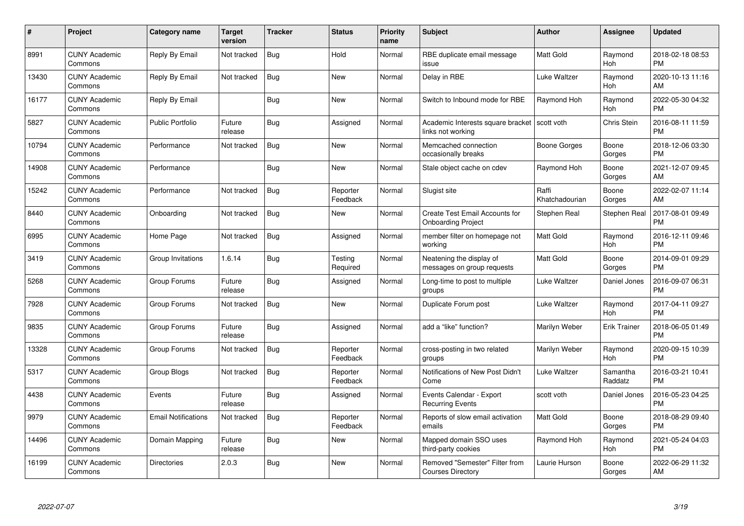| $\#$  | Project                         | <b>Category name</b>       | <b>Target</b><br>version | <b>Tracker</b> | <b>Status</b>        | <b>Priority</b><br>name | <b>Subject</b>                                                     | <b>Author</b>           | <b>Assignee</b>     | <b>Updated</b>                |
|-------|---------------------------------|----------------------------|--------------------------|----------------|----------------------|-------------------------|--------------------------------------------------------------------|-------------------------|---------------------|-------------------------------|
| 8991  | <b>CUNY Academic</b><br>Commons | Reply By Email             | Not tracked              | Bug            | Hold                 | Normal                  | RBE duplicate email message<br>issue                               | <b>Matt Gold</b>        | Raymond<br>Hoh      | 2018-02-18 08:53<br><b>PM</b> |
| 13430 | <b>CUNY Academic</b><br>Commons | Reply By Email             | Not tracked              | Bug            | <b>New</b>           | Normal                  | Delay in RBE                                                       | Luke Waltzer            | Raymond<br>Hoh      | 2020-10-13 11:16<br>AM        |
| 16177 | <b>CUNY Academic</b><br>Commons | Reply By Email             |                          | <b>Bug</b>     | <b>New</b>           | Normal                  | Switch to Inbound mode for RBE                                     | Raymond Hoh             | Raymond<br>Hoh      | 2022-05-30 04:32<br><b>PM</b> |
| 5827  | <b>CUNY Academic</b><br>Commons | <b>Public Portfolio</b>    | Future<br>release        | <b>Bug</b>     | Assigned             | Normal                  | Academic Interests square bracket<br>links not working             | l scott voth            | Chris Stein         | 2016-08-11 11:59<br><b>PM</b> |
| 10794 | <b>CUNY Academic</b><br>Commons | Performance                | Not tracked              | <b>Bug</b>     | <b>New</b>           | Normal                  | Memcached connection<br>occasionally breaks                        | <b>Boone Gorges</b>     | Boone<br>Gorges     | 2018-12-06 03:30<br><b>PM</b> |
| 14908 | <b>CUNY Academic</b><br>Commons | Performance                |                          | Bug            | <b>New</b>           | Normal                  | Stale object cache on cdev                                         | Raymond Hoh             | Boone<br>Gorges     | 2021-12-07 09:45<br>AM        |
| 15242 | <b>CUNY Academic</b><br>Commons | Performance                | Not tracked              | <b>Bug</b>     | Reporter<br>Feedback | Normal                  | Slugist site                                                       | Raffi<br>Khatchadourian | Boone<br>Gorges     | 2022-02-07 11:14<br>AM        |
| 8440  | <b>CUNY Academic</b><br>Commons | Onboarding                 | Not tracked              | <b>Bug</b>     | <b>New</b>           | Normal                  | <b>Create Test Email Accounts for</b><br><b>Onboarding Project</b> | Stephen Real            | Stephen Real        | 2017-08-01 09:49<br><b>PM</b> |
| 6995  | <b>CUNY Academic</b><br>Commons | Home Page                  | Not tracked              | <b>Bug</b>     | Assigned             | Normal                  | member filter on homepage not<br>working                           | <b>Matt Gold</b>        | Raymond<br>Hoh      | 2016-12-11 09:46<br><b>PM</b> |
| 3419  | <b>CUNY Academic</b><br>Commons | Group Invitations          | 1.6.14                   | <b>Bug</b>     | Testing<br>Required  | Normal                  | Neatening the display of<br>messages on group requests             | <b>Matt Gold</b>        | Boone<br>Gorges     | 2014-09-01 09:29<br>PM        |
| 5268  | <b>CUNY Academic</b><br>Commons | Group Forums               | Future<br>release        | Bug            | Assigned             | Normal                  | Long-time to post to multiple<br>groups                            | Luke Waltzer            | Daniel Jones        | 2016-09-07 06:31<br><b>PM</b> |
| 7928  | <b>CUNY Academic</b><br>Commons | Group Forums               | Not tracked              | <b>Bug</b>     | New                  | Normal                  | Duplicate Forum post                                               | Luke Waltzer            | Raymond<br>Hoh      | 2017-04-11 09:27<br><b>PM</b> |
| 9835  | <b>CUNY Academic</b><br>Commons | Group Forums               | Future<br>release        | <b>Bug</b>     | Assigned             | Normal                  | add a "like" function?                                             | Marilyn Weber           | <b>Erik Trainer</b> | 2018-06-05 01:49<br><b>PM</b> |
| 13328 | <b>CUNY Academic</b><br>Commons | Group Forums               | Not tracked              | <b>Bug</b>     | Reporter<br>Feedback | Normal                  | cross-posting in two related<br>groups                             | Marilyn Weber           | Raymond<br>Hoh      | 2020-09-15 10:39<br><b>PM</b> |
| 5317  | <b>CUNY Academic</b><br>Commons | <b>Group Blogs</b>         | Not tracked              | <b>Bug</b>     | Reporter<br>Feedback | Normal                  | Notifications of New Post Didn't<br>Come                           | <b>Luke Waltzer</b>     | Samantha<br>Raddatz | 2016-03-21 10:41<br><b>PM</b> |
| 4438  | <b>CUNY Academic</b><br>Commons | Events                     | Future<br>release        | Bug            | Assigned             | Normal                  | Events Calendar - Export<br><b>Recurring Events</b>                | scott voth              | Daniel Jones        | 2016-05-23 04:25<br><b>PM</b> |
| 9979  | <b>CUNY Academic</b><br>Commons | <b>Email Notifications</b> | Not tracked              | <b>Bug</b>     | Reporter<br>Feedback | Normal                  | Reports of slow email activation<br>emails                         | <b>Matt Gold</b>        | Boone<br>Gorges     | 2018-08-29 09:40<br><b>PM</b> |
| 14496 | <b>CUNY Academic</b><br>Commons | Domain Mapping             | Future<br>release        | Bug            | <b>New</b>           | Normal                  | Mapped domain SSO uses<br>third-party cookies                      | Raymond Hoh             | Raymond<br>Hoh      | 2021-05-24 04:03<br><b>PM</b> |
| 16199 | <b>CUNY Academic</b><br>Commons | <b>Directories</b>         | 2.0.3                    | <b>Bug</b>     | <b>New</b>           | Normal                  | Removed "Semester" Filter from<br><b>Courses Directory</b>         | Laurie Hurson           | Boone<br>Gorges     | 2022-06-29 11:32<br>AM        |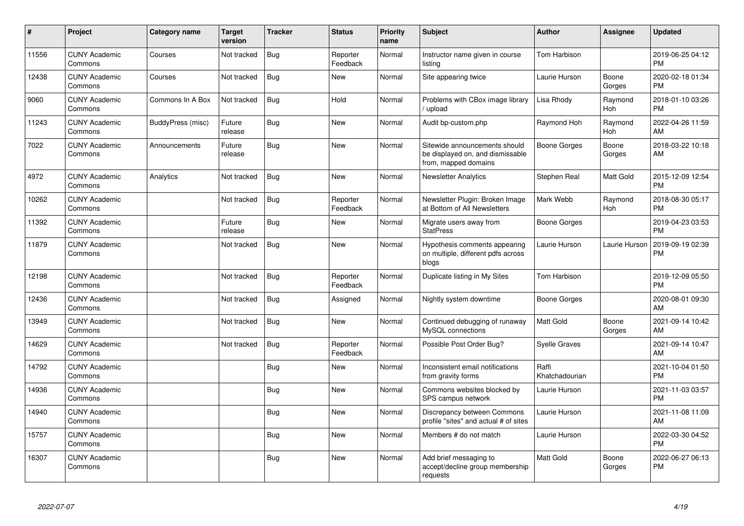| #     | Project                         | Category name     | <b>Target</b><br>version | <b>Tracker</b> | <b>Status</b>        | <b>Priority</b><br>name | <b>Subject</b>                                                                            | Author                  | <b>Assignee</b>       | <b>Updated</b>                |
|-------|---------------------------------|-------------------|--------------------------|----------------|----------------------|-------------------------|-------------------------------------------------------------------------------------------|-------------------------|-----------------------|-------------------------------|
| 11556 | <b>CUNY Academic</b><br>Commons | Courses           | Not tracked              | <b>Bug</b>     | Reporter<br>Feedback | Normal                  | Instructor name given in course<br>listing                                                | Tom Harbison            |                       | 2019-06-25 04:12<br><b>PM</b> |
| 12438 | <b>CUNY Academic</b><br>Commons | Courses           | Not tracked              | Bug            | <b>New</b>           | Normal                  | Site appearing twice                                                                      | Laurie Hurson           | Boone<br>Gorges       | 2020-02-18 01:34<br><b>PM</b> |
| 9060  | <b>CUNY Academic</b><br>Commons | Commons In A Box  | Not tracked              | Bug            | Hold                 | Normal                  | Problems with CBox image library<br>upload                                                | Lisa Rhody              | Raymond<br>Hoh        | 2018-01-10 03:26<br><b>PM</b> |
| 11243 | <b>CUNY Academic</b><br>Commons | BuddyPress (misc) | Future<br>release        | Bug            | New                  | Normal                  | Audit bp-custom.php                                                                       | Raymond Hoh             | Raymond<br><b>Hoh</b> | 2022-04-26 11:59<br>AM        |
| 7022  | <b>CUNY Academic</b><br>Commons | Announcements     | Future<br>release        | <b>Bug</b>     | <b>New</b>           | Normal                  | Sitewide announcements should<br>be displayed on, and dismissable<br>from, mapped domains | <b>Boone Gorges</b>     | Boone<br>Gorges       | 2018-03-22 10:18<br>AM        |
| 4972  | <b>CUNY Academic</b><br>Commons | Analytics         | Not tracked              | Bug            | <b>New</b>           | Normal                  | <b>Newsletter Analytics</b>                                                               | Stephen Real            | Matt Gold             | 2015-12-09 12:54<br><b>PM</b> |
| 10262 | <b>CUNY Academic</b><br>Commons |                   | Not tracked              | Bug            | Reporter<br>Feedback | Normal                  | Newsletter Plugin: Broken Image<br>at Bottom of All Newsletters                           | Mark Webb               | Raymond<br>Hoh        | 2018-08-30 05:17<br><b>PM</b> |
| 11392 | <b>CUNY Academic</b><br>Commons |                   | Future<br>release        | <b>Bug</b>     | New                  | Normal                  | Migrate users away from<br><b>StatPress</b>                                               | <b>Boone Gorges</b>     |                       | 2019-04-23 03:53<br><b>PM</b> |
| 11879 | <b>CUNY Academic</b><br>Commons |                   | Not tracked              | <b>Bug</b>     | <b>New</b>           | Normal                  | Hypothesis comments appearing<br>on multiple, different pdfs across<br>blogs              | Laurie Hurson           | Laurie Hurson         | 2019-09-19 02:39<br><b>PM</b> |
| 12198 | <b>CUNY Academic</b><br>Commons |                   | Not tracked              | Bug            | Reporter<br>Feedback | Normal                  | Duplicate listing in My Sites                                                             | <b>Tom Harbison</b>     |                       | 2019-12-09 05:50<br><b>PM</b> |
| 12436 | <b>CUNY Academic</b><br>Commons |                   | Not tracked              | Bug            | Assigned             | Normal                  | Nightly system downtime                                                                   | <b>Boone Gorges</b>     |                       | 2020-08-01 09:30<br>AM        |
| 13949 | <b>CUNY Academic</b><br>Commons |                   | Not tracked              | Bug            | <b>New</b>           | Normal                  | Continued debugging of runaway<br>MySQL connections                                       | <b>Matt Gold</b>        | Boone<br>Gorges       | 2021-09-14 10:42<br>AM        |
| 14629 | <b>CUNY Academic</b><br>Commons |                   | Not tracked              | <b>Bug</b>     | Reporter<br>Feedback | Normal                  | Possible Post Order Bug?                                                                  | Syelle Graves           |                       | 2021-09-14 10:47<br>AM        |
| 14792 | <b>CUNY Academic</b><br>Commons |                   |                          | <b>Bug</b>     | New                  | Normal                  | Inconsistent email notifications<br>from gravity forms                                    | Raffi<br>Khatchadourian |                       | 2021-10-04 01:50<br><b>PM</b> |
| 14936 | <b>CUNY Academic</b><br>Commons |                   |                          | <b>Bug</b>     | <b>New</b>           | Normal                  | Commons websites blocked by<br>SPS campus network                                         | Laurie Hurson           |                       | 2021-11-03 03:57<br><b>PM</b> |
| 14940 | <b>CUNY Academic</b><br>Commons |                   |                          | <b>Bug</b>     | <b>New</b>           | Normal                  | Discrepancy between Commons<br>profile "sites" and actual # of sites                      | Laurie Hurson           |                       | 2021-11-08 11:09<br>AM        |
| 15757 | <b>CUNY Academic</b><br>Commons |                   |                          | Bug            | <b>New</b>           | Normal                  | Members # do not match                                                                    | Laurie Hurson           |                       | 2022-03-30 04:52<br><b>PM</b> |
| 16307 | <b>CUNY Academic</b><br>Commons |                   |                          | <b>Bug</b>     | <b>New</b>           | Normal                  | Add brief messaging to<br>accept/decline group membership<br>requests                     | <b>Matt Gold</b>        | Boone<br>Gorges       | 2022-06-27 06:13<br><b>PM</b> |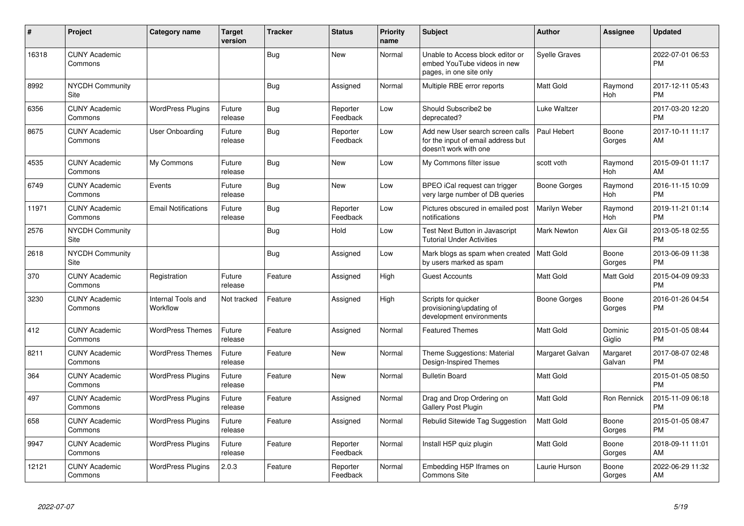| #     | Project                         | <b>Category name</b>           | <b>Target</b><br>version | <b>Tracker</b> | <b>Status</b>        | <b>Priority</b><br>name | <b>Subject</b>                                                                                  | <b>Author</b>        | Assignee           | <b>Updated</b>                |
|-------|---------------------------------|--------------------------------|--------------------------|----------------|----------------------|-------------------------|-------------------------------------------------------------------------------------------------|----------------------|--------------------|-------------------------------|
| 16318 | <b>CUNY Academic</b><br>Commons |                                |                          | <b>Bug</b>     | New                  | Normal                  | Unable to Access block editor or<br>embed YouTube videos in new<br>pages, in one site only      | <b>Syelle Graves</b> |                    | 2022-07-01 06:53<br><b>PM</b> |
| 8992  | <b>NYCDH Community</b><br>Site  |                                |                          | Bug            | Assigned             | Normal                  | Multiple RBE error reports                                                                      | <b>Matt Gold</b>     | Raymond<br>Hoh     | 2017-12-11 05:43<br><b>PM</b> |
| 6356  | <b>CUNY Academic</b><br>Commons | <b>WordPress Plugins</b>       | Future<br>release        | Bug            | Reporter<br>Feedback | Low                     | Should Subscribe2 be<br>deprecated?                                                             | Luke Waltzer         |                    | 2017-03-20 12:20<br><b>PM</b> |
| 8675  | <b>CUNY Academic</b><br>Commons | User Onboarding                | Future<br>release        | <b>Bug</b>     | Reporter<br>Feedback | Low                     | Add new User search screen calls<br>for the input of email address but<br>doesn't work with one | Paul Hebert          | Boone<br>Gorges    | 2017-10-11 11:17<br>AM        |
| 4535  | <b>CUNY Academic</b><br>Commons | My Commons                     | Future<br>release        | Bug            | New                  | Low                     | My Commons filter issue                                                                         | scott voth           | Raymond<br>Hoh     | 2015-09-01 11:17<br>AM        |
| 6749  | <b>CUNY Academic</b><br>Commons | Events                         | Future<br>release        | Bug            | New                  | Low                     | BPEO iCal request can trigger<br>very large number of DB queries                                | Boone Gorges         | Raymond<br>Hoh     | 2016-11-15 10:09<br><b>PM</b> |
| 11971 | <b>CUNY Academic</b><br>Commons | <b>Email Notifications</b>     | Future<br>release        | Bug            | Reporter<br>Feedback | Low                     | Pictures obscured in emailed post<br>notifications                                              | Marilyn Weber        | Raymond<br>Hoh     | 2019-11-21 01:14<br><b>PM</b> |
| 2576  | <b>NYCDH Community</b><br>Site  |                                |                          | Bug            | Hold                 | Low                     | Test Next Button in Javascript<br><b>Tutorial Under Activities</b>                              | Mark Newton          | Alex Gil           | 2013-05-18 02:55<br><b>PM</b> |
| 2618  | <b>NYCDH Community</b><br>Site  |                                |                          | Bug            | Assigned             | Low                     | Mark blogs as spam when created<br>by users marked as spam                                      | l Matt Gold          | Boone<br>Gorges    | 2013-06-09 11:38<br><b>PM</b> |
| 370   | <b>CUNY Academic</b><br>Commons | Registration                   | Future<br>release        | Feature        | Assigned             | High                    | <b>Guest Accounts</b>                                                                           | Matt Gold            | Matt Gold          | 2015-04-09 09:33<br><b>PM</b> |
| 3230  | <b>CUNY Academic</b><br>Commons | Internal Tools and<br>Workflow | Not tracked              | Feature        | Assigned             | High                    | Scripts for quicker<br>provisioning/updating of<br>development environments                     | Boone Gorges         | Boone<br>Gorges    | 2016-01-26 04:54<br><b>PM</b> |
| 412   | <b>CUNY Academic</b><br>Commons | <b>WordPress Themes</b>        | Future<br>release        | Feature        | Assigned             | Normal                  | <b>Featured Themes</b>                                                                          | <b>Matt Gold</b>     | Dominic<br>Giglio  | 2015-01-05 08:44<br><b>PM</b> |
| 8211  | <b>CUNY Academic</b><br>Commons | <b>WordPress Themes</b>        | Future<br>release        | Feature        | <b>New</b>           | Normal                  | Theme Suggestions: Material<br>Design-Inspired Themes                                           | Margaret Galvan      | Margaret<br>Galvan | 2017-08-07 02:48<br><b>PM</b> |
| 364   | <b>CUNY Academic</b><br>Commons | <b>WordPress Plugins</b>       | Future<br>release        | Feature        | <b>New</b>           | Normal                  | <b>Bulletin Board</b>                                                                           | <b>Matt Gold</b>     |                    | 2015-01-05 08:50<br><b>PM</b> |
| 497   | <b>CUNY Academic</b><br>Commons | <b>WordPress Plugins</b>       | Future<br>release        | Feature        | Assigned             | Normal                  | Drag and Drop Ordering on<br><b>Gallery Post Plugin</b>                                         | Matt Gold            | Ron Rennick        | 2015-11-09 06:18<br><b>PM</b> |
| 658   | <b>CUNY Academic</b><br>Commons | <b>WordPress Plugins</b>       | Future<br>release        | Feature        | Assigned             | Normal                  | Rebulid Sitewide Tag Suggestion                                                                 | <b>Matt Gold</b>     | Boone<br>Gorges    | 2015-01-05 08:47<br><b>PM</b> |
| 9947  | <b>CUNY Academic</b><br>Commons | <b>WordPress Plugins</b>       | Future<br>release        | Feature        | Reporter<br>Feedback | Normal                  | Install H5P quiz plugin                                                                         | <b>Matt Gold</b>     | Boone<br>Gorges    | 2018-09-11 11:01<br>AM        |
| 12121 | <b>CUNY Academic</b><br>Commons | <b>WordPress Plugins</b>       | 2.0.3                    | Feature        | Reporter<br>Feedback | Normal                  | Embedding H5P Iframes on<br><b>Commons Site</b>                                                 | Laurie Hurson        | Boone<br>Gorges    | 2022-06-29 11:32<br>AM        |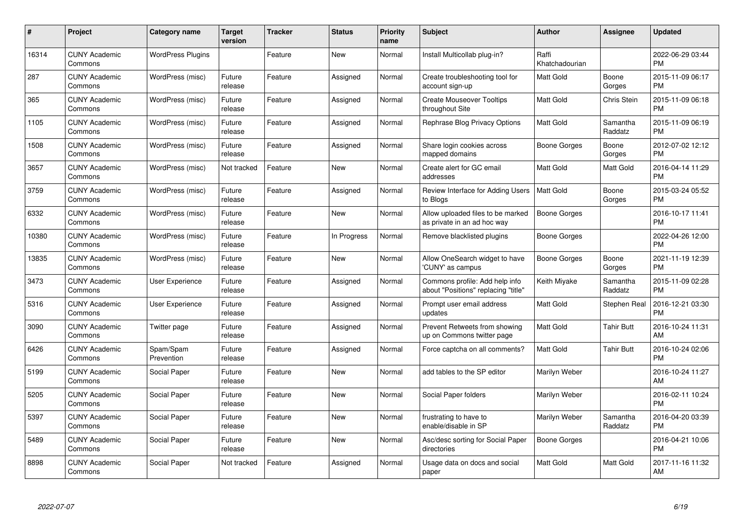| #     | Project                         | <b>Category name</b>     | <b>Target</b><br>version | <b>Tracker</b> | <b>Status</b> | <b>Priority</b><br>name | <b>Subject</b>                                                        | <b>Author</b>           | <b>Assignee</b>     | <b>Updated</b>                |
|-------|---------------------------------|--------------------------|--------------------------|----------------|---------------|-------------------------|-----------------------------------------------------------------------|-------------------------|---------------------|-------------------------------|
| 16314 | <b>CUNY Academic</b><br>Commons | <b>WordPress Plugins</b> |                          | Feature        | <b>New</b>    | Normal                  | Install Multicollab plug-in?                                          | Raffi<br>Khatchadourian |                     | 2022-06-29 03:44<br><b>PM</b> |
| 287   | <b>CUNY Academic</b><br>Commons | WordPress (misc)         | Future<br>release        | Feature        | Assigned      | Normal                  | Create troubleshooting tool for<br>account sign-up                    | <b>Matt Gold</b>        | Boone<br>Gorges     | 2015-11-09 06:17<br><b>PM</b> |
| 365   | <b>CUNY Academic</b><br>Commons | WordPress (misc)         | Future<br>release        | Feature        | Assigned      | Normal                  | <b>Create Mouseover Tooltips</b><br>throughout Site                   | Matt Gold               | Chris Stein         | 2015-11-09 06:18<br><b>PM</b> |
| 1105  | <b>CUNY Academic</b><br>Commons | WordPress (misc)         | Future<br>release        | Feature        | Assigned      | Normal                  | Rephrase Blog Privacy Options                                         | <b>Matt Gold</b>        | Samantha<br>Raddatz | 2015-11-09 06:19<br><b>PM</b> |
| 1508  | <b>CUNY Academic</b><br>Commons | WordPress (misc)         | Future<br>release        | Feature        | Assigned      | Normal                  | Share login cookies across<br>mapped domains                          | Boone Gorges            | Boone<br>Gorges     | 2012-07-02 12:12<br><b>PM</b> |
| 3657  | <b>CUNY Academic</b><br>Commons | WordPress (misc)         | Not tracked              | Feature        | <b>New</b>    | Normal                  | Create alert for GC email<br>addresses                                | Matt Gold               | Matt Gold           | 2016-04-14 11:29<br><b>PM</b> |
| 3759  | <b>CUNY Academic</b><br>Commons | WordPress (misc)         | Future<br>release        | Feature        | Assigned      | Normal                  | Review Interface for Adding Users<br>to Blogs                         | <b>Matt Gold</b>        | Boone<br>Gorges     | 2015-03-24 05:52<br><b>PM</b> |
| 6332  | <b>CUNY Academic</b><br>Commons | WordPress (misc)         | Future<br>release        | Feature        | New           | Normal                  | Allow uploaded files to be marked<br>as private in an ad hoc way      | <b>Boone Gorges</b>     |                     | 2016-10-17 11:41<br><b>PM</b> |
| 10380 | <b>CUNY Academic</b><br>Commons | WordPress (misc)         | Future<br>release        | Feature        | In Progress   | Normal                  | Remove blacklisted plugins                                            | Boone Gorges            |                     | 2022-04-26 12:00<br><b>PM</b> |
| 13835 | <b>CUNY Academic</b><br>Commons | WordPress (misc)         | Future<br>release        | Feature        | New           | Normal                  | Allow OneSearch widget to have<br>'CUNY' as campus                    | <b>Boone Gorges</b>     | Boone<br>Gorges     | 2021-11-19 12:39<br><b>PM</b> |
| 3473  | <b>CUNY Academic</b><br>Commons | User Experience          | Future<br>release        | Feature        | Assigned      | Normal                  | Commons profile: Add help info<br>about "Positions" replacing "title" | Keith Miyake            | Samantha<br>Raddatz | 2015-11-09 02:28<br><b>PM</b> |
| 5316  | <b>CUNY Academic</b><br>Commons | <b>User Experience</b>   | Future<br>release        | Feature        | Assigned      | Normal                  | Prompt user email address<br>updates                                  | Matt Gold               | Stephen Real        | 2016-12-21 03:30<br><b>PM</b> |
| 3090  | <b>CUNY Academic</b><br>Commons | Twitter page             | Future<br>release        | Feature        | Assigned      | Normal                  | Prevent Retweets from showing<br>up on Commons twitter page           | <b>Matt Gold</b>        | Tahir Butt          | 2016-10-24 11:31<br>AM        |
| 6426  | <b>CUNY Academic</b><br>Commons | Spam/Spam<br>Prevention  | Future<br>release        | Feature        | Assigned      | Normal                  | Force captcha on all comments?                                        | <b>Matt Gold</b>        | Tahir Butt          | 2016-10-24 02:06<br><b>PM</b> |
| 5199  | <b>CUNY Academic</b><br>Commons | Social Paper             | Future<br>release        | Feature        | <b>New</b>    | Normal                  | add tables to the SP editor                                           | Marilyn Weber           |                     | 2016-10-24 11:27<br>AM        |
| 5205  | <b>CUNY Academic</b><br>Commons | Social Paper             | Future<br>release        | Feature        | <b>New</b>    | Normal                  | Social Paper folders                                                  | Marilyn Weber           |                     | 2016-02-11 10:24<br><b>PM</b> |
| 5397  | <b>CUNY Academic</b><br>Commons | Social Paper             | Future<br>release        | Feature        | New           | Normal                  | frustrating to have to<br>enable/disable in SP                        | Marilyn Weber           | Samantha<br>Raddatz | 2016-04-20 03:39<br><b>PM</b> |
| 5489  | <b>CUNY Academic</b><br>Commons | Social Paper             | Future<br>release        | Feature        | <b>New</b>    | Normal                  | Asc/desc sorting for Social Paper<br>directories                      | <b>Boone Gorges</b>     |                     | 2016-04-21 10:06<br><b>PM</b> |
| 8898  | CUNY Academic<br>Commons        | Social Paper             | Not tracked              | Feature        | Assigned      | Normal                  | Usage data on docs and social<br>paper                                | <b>Matt Gold</b>        | Matt Gold           | 2017-11-16 11:32<br>AM        |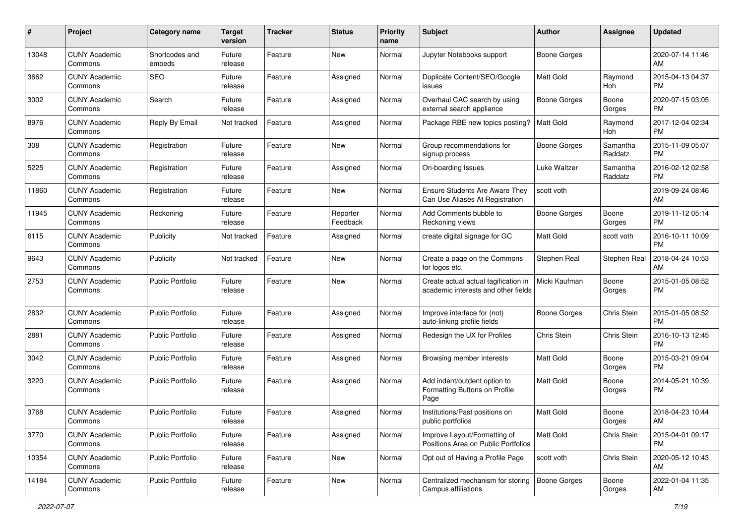| #     | Project                         | <b>Category name</b>     | <b>Target</b><br>version | <b>Tracker</b> | <b>Status</b>        | <b>Priority</b><br>name | <b>Subject</b>                                                              | Author              | <b>Assignee</b>     | <b>Updated</b>                |
|-------|---------------------------------|--------------------------|--------------------------|----------------|----------------------|-------------------------|-----------------------------------------------------------------------------|---------------------|---------------------|-------------------------------|
| 13048 | <b>CUNY Academic</b><br>Commons | Shortcodes and<br>embeds | Future<br>release        | Feature        | New                  | Normal                  | Jupyter Notebooks support                                                   | <b>Boone Gorges</b> |                     | 2020-07-14 11:46<br>AM        |
| 3662  | <b>CUNY Academic</b><br>Commons | <b>SEO</b>               | Future<br>release        | Feature        | Assigned             | Normal                  | Duplicate Content/SEO/Google<br>issues                                      | <b>Matt Gold</b>    | Raymond<br>Hoh      | 2015-04-13 04:37<br><b>PM</b> |
| 3002  | <b>CUNY Academic</b><br>Commons | Search                   | Future<br>release        | Feature        | Assigned             | Normal                  | Overhaul CAC search by using<br>external search appliance                   | <b>Boone Gorges</b> | Boone<br>Gorges     | 2020-07-15 03:05<br><b>PM</b> |
| 8976  | <b>CUNY Academic</b><br>Commons | Reply By Email           | Not tracked              | Feature        | Assigned             | Normal                  | Package RBE new topics posting?                                             | <b>Matt Gold</b>    | Raymond<br>Hoh      | 2017-12-04 02:34<br><b>PM</b> |
| 308   | <b>CUNY Academic</b><br>Commons | Registration             | Future<br>release        | Feature        | New                  | Normal                  | Group recommendations for<br>signup process                                 | <b>Boone Gorges</b> | Samantha<br>Raddatz | 2015-11-09 05:07<br><b>PM</b> |
| 5225  | <b>CUNY Academic</b><br>Commons | Registration             | Future<br>release        | Feature        | Assigned             | Normal                  | On-boarding Issues                                                          | Luke Waltzer        | Samantha<br>Raddatz | 2016-02-12 02:58<br><b>PM</b> |
| 11860 | <b>CUNY Academic</b><br>Commons | Registration             | Future<br>release        | Feature        | New                  | Normal                  | <b>Ensure Students Are Aware They</b><br>Can Use Aliases At Registration    | scott voth          |                     | 2019-09-24 08:46<br>AM        |
| 11945 | <b>CUNY Academic</b><br>Commons | Reckoning                | Future<br>release        | Feature        | Reporter<br>Feedback | Normal                  | Add Comments bubble to<br>Reckoning views                                   | <b>Boone Gorges</b> | Boone<br>Gorges     | 2019-11-12 05:14<br><b>PM</b> |
| 6115  | <b>CUNY Academic</b><br>Commons | Publicity                | Not tracked              | Feature        | Assigned             | Normal                  | create digital signage for GC                                               | <b>Matt Gold</b>    | scott voth          | 2016-10-11 10:09<br><b>PM</b> |
| 9643  | <b>CUNY Academic</b><br>Commons | Publicity                | Not tracked              | Feature        | New                  | Normal                  | Create a page on the Commons<br>for logos etc.                              | Stephen Real        | Stephen Real        | 2018-04-24 10:53<br>AM        |
| 2753  | <b>CUNY Academic</b><br>Commons | Public Portfolio         | Future<br>release        | Feature        | New                  | Normal                  | Create actual actual tagification in<br>academic interests and other fields | Micki Kaufman       | Boone<br>Gorges     | 2015-01-05 08:52<br>PM        |
| 2832  | <b>CUNY Academic</b><br>Commons | <b>Public Portfolio</b>  | Future<br>release        | Feature        | Assigned             | Normal                  | Improve interface for (not)<br>auto-linking profile fields                  | Boone Gorges        | Chris Stein         | 2015-01-05 08:52<br><b>PM</b> |
| 2881  | <b>CUNY Academic</b><br>Commons | Public Portfolio         | Future<br>release        | Feature        | Assigned             | Normal                  | Redesign the UX for Profiles                                                | Chris Stein         | Chris Stein         | 2016-10-13 12:45<br><b>PM</b> |
| 3042  | <b>CUNY Academic</b><br>Commons | <b>Public Portfolio</b>  | Future<br>release        | Feature        | Assigned             | Normal                  | Browsing member interests                                                   | <b>Matt Gold</b>    | Boone<br>Gorges     | 2015-03-21 09:04<br><b>PM</b> |
| 3220  | <b>CUNY Academic</b><br>Commons | <b>Public Portfolio</b>  | Future<br>release        | Feature        | Assigned             | Normal                  | Add indent/outdent option to<br>Formatting Buttons on Profile<br>Page       | <b>Matt Gold</b>    | Boone<br>Gorges     | 2014-05-21 10:39<br><b>PM</b> |
| 3768  | <b>CUNY Academic</b><br>Commons | <b>Public Portfolio</b>  | Future<br>release        | Feature        | Assigned             | Normal                  | Institutions/Past positions on<br>public portfolios                         | Matt Gold           | Boone<br>Gorges     | 2018-04-23 10:44<br>AM        |
| 3770  | <b>CUNY Academic</b><br>Commons | <b>Public Portfolio</b>  | Future<br>release        | Feature        | Assigned             | Normal                  | Improve Layout/Formatting of<br>Positions Area on Public Portfolios         | Matt Gold           | Chris Stein         | 2015-04-01 09:17<br><b>PM</b> |
| 10354 | <b>CUNY Academic</b><br>Commons | <b>Public Portfolio</b>  | Future<br>release        | Feature        | New                  | Normal                  | Opt out of Having a Profile Page                                            | scott voth          | Chris Stein         | 2020-05-12 10:43<br>AM        |
| 14184 | <b>CUNY Academic</b><br>Commons | Public Portfolio         | Future<br>release        | Feature        | New                  | Normal                  | Centralized mechanism for storing<br>Campus affiliations                    | Boone Gorges        | Boone<br>Gorges     | 2022-01-04 11:35<br>AM        |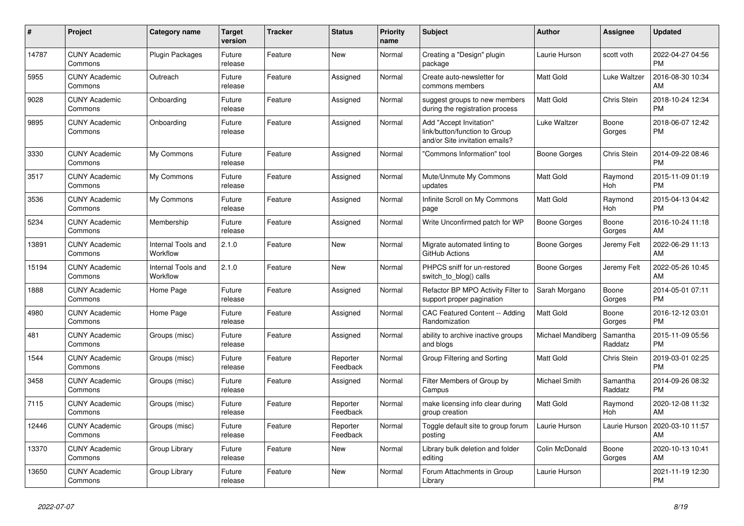| #     | <b>Project</b>                  | <b>Category name</b>           | <b>Target</b><br>version | <b>Tracker</b> | <b>Status</b>        | <b>Priority</b><br>name | <b>Subject</b>                                                                             | <b>Author</b>        | Assignee            | <b>Updated</b>                |
|-------|---------------------------------|--------------------------------|--------------------------|----------------|----------------------|-------------------------|--------------------------------------------------------------------------------------------|----------------------|---------------------|-------------------------------|
| 14787 | <b>CUNY Academic</b><br>Commons | <b>Plugin Packages</b>         | Future<br>release        | Feature        | New                  | Normal                  | Creating a "Design" plugin<br>package                                                      | Laurie Hurson        | scott voth          | 2022-04-27 04:56<br><b>PM</b> |
| 5955  | <b>CUNY Academic</b><br>Commons | Outreach                       | Future<br>release        | Feature        | Assigned             | Normal                  | Create auto-newsletter for<br>commons members                                              | <b>Matt Gold</b>     | Luke Waltzer        | 2016-08-30 10:34<br>AM        |
| 9028  | <b>CUNY Academic</b><br>Commons | Onboarding                     | Future<br>release        | Feature        | Assigned             | Normal                  | suggest groups to new members<br>during the registration process                           | <b>Matt Gold</b>     | Chris Stein         | 2018-10-24 12:34<br><b>PM</b> |
| 9895  | <b>CUNY Academic</b><br>Commons | Onboarding                     | Future<br>release        | Feature        | Assigned             | Normal                  | Add "Accept Invitation"<br>link/button/function to Group<br>and/or Site invitation emails? | <b>Luke Waltzer</b>  | Boone<br>Gorges     | 2018-06-07 12:42<br><b>PM</b> |
| 3330  | <b>CUNY Academic</b><br>Commons | My Commons                     | Future<br>release        | Feature        | Assigned             | Normal                  | "Commons Information" tool                                                                 | Boone Gorges         | Chris Stein         | 2014-09-22 08:46<br><b>PM</b> |
| 3517  | <b>CUNY Academic</b><br>Commons | My Commons                     | Future<br>release        | Feature        | Assigned             | Normal                  | Mute/Unmute My Commons<br>updates                                                          | <b>Matt Gold</b>     | Raymond<br>Hoh      | 2015-11-09 01:19<br><b>PM</b> |
| 3536  | <b>CUNY Academic</b><br>Commons | My Commons                     | Future<br>release        | Feature        | Assigned             | Normal                  | Infinite Scroll on My Commons<br>page                                                      | <b>Matt Gold</b>     | Raymond<br>Hoh      | 2015-04-13 04:42<br><b>PM</b> |
| 5234  | <b>CUNY Academic</b><br>Commons | Membership                     | Future<br>release        | Feature        | Assigned             | Normal                  | Write Unconfirmed patch for WP                                                             | Boone Gorges         | Boone<br>Gorges     | 2016-10-24 11:18<br>AM        |
| 13891 | <b>CUNY Academic</b><br>Commons | Internal Tools and<br>Workflow | 2.1.0                    | Feature        | New                  | Normal                  | Migrate automated linting to<br>GitHub Actions                                             | Boone Gorges         | Jeremy Felt         | 2022-06-29 11:13<br>AM        |
| 15194 | <b>CUNY Academic</b><br>Commons | Internal Tools and<br>Workflow | 2.1.0                    | Feature        | New                  | Normal                  | PHPCS sniff for un-restored<br>switch_to_blog() calls                                      | Boone Gorges         | Jeremy Felt         | 2022-05-26 10:45<br>AM        |
| 1888  | <b>CUNY Academic</b><br>Commons | Home Page                      | Future<br>release        | Feature        | Assigned             | Normal                  | Refactor BP MPO Activity Filter to<br>support proper pagination                            | Sarah Morgano        | Boone<br>Gorges     | 2014-05-01 07:11<br><b>PM</b> |
| 4980  | <b>CUNY Academic</b><br>Commons | Home Page                      | Future<br>release        | Feature        | Assigned             | Normal                  | <b>CAC Featured Content -- Adding</b><br>Randomization                                     | <b>Matt Gold</b>     | Boone<br>Gorges     | 2016-12-12 03:01<br><b>PM</b> |
| 481   | <b>CUNY Academic</b><br>Commons | Groups (misc)                  | Future<br>release        | Feature        | Assigned             | Normal                  | ability to archive inactive groups<br>and blogs                                            | Michael Mandiberg    | Samantha<br>Raddatz | 2015-11-09 05:56<br><b>PM</b> |
| 1544  | <b>CUNY Academic</b><br>Commons | Groups (misc)                  | Future<br>release        | Feature        | Reporter<br>Feedback | Normal                  | Group Filtering and Sorting                                                                | <b>Matt Gold</b>     | Chris Stein         | 2019-03-01 02:25<br><b>PM</b> |
| 3458  | <b>CUNY Academic</b><br>Commons | Groups (misc)                  | Future<br>release        | Feature        | Assigned             | Normal                  | Filter Members of Group by<br>Campus                                                       | <b>Michael Smith</b> | Samantha<br>Raddatz | 2014-09-26 08:32<br><b>PM</b> |
| 7115  | <b>CUNY Academic</b><br>Commons | Groups (misc)                  | Future<br>release        | Feature        | Reporter<br>Feedback | Normal                  | make licensing info clear during<br>group creation                                         | <b>Matt Gold</b>     | Raymond<br>Hoh      | 2020-12-08 11:32<br>AM        |
| 12446 | <b>CUNY Academic</b><br>Commons | Groups (misc)                  | Future<br>release        | Feature        | Reporter<br>Feedback | Normal                  | Toggle default site to group forum<br>posting                                              | Laurie Hurson        | Laurie Hurson       | 2020-03-10 11:57<br>AM        |
| 13370 | <b>CUNY Academic</b><br>Commons | Group Library                  | Future<br>release        | Feature        | New                  | Normal                  | Library bulk deletion and folder<br>editing                                                | Colin McDonald       | Boone<br>Gorges     | 2020-10-13 10:41<br>AM        |
| 13650 | <b>CUNY Academic</b><br>Commons | Group Library                  | Future<br>release        | Feature        | <b>New</b>           | Normal                  | Forum Attachments in Group<br>Library                                                      | Laurie Hurson        |                     | 2021-11-19 12:30<br><b>PM</b> |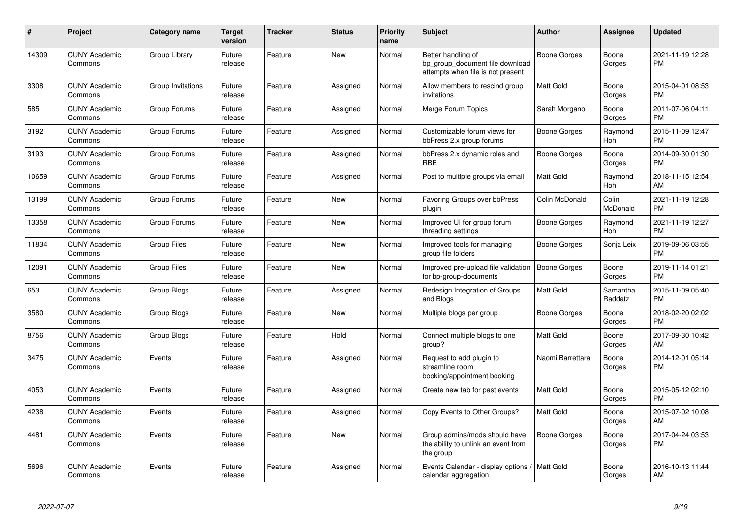| #     | <b>Project</b>                  | <b>Category name</b> | <b>Target</b><br>version | <b>Tracker</b> | <b>Status</b> | <b>Priority</b><br>name | <b>Subject</b>                                                                             | <b>Author</b>         | Assignee            | <b>Updated</b>                |
|-------|---------------------------------|----------------------|--------------------------|----------------|---------------|-------------------------|--------------------------------------------------------------------------------------------|-----------------------|---------------------|-------------------------------|
| 14309 | <b>CUNY Academic</b><br>Commons | Group Library        | Future<br>release        | Feature        | <b>New</b>    | Normal                  | Better handling of<br>bp group document file download<br>attempts when file is not present | Boone Gorges          | Boone<br>Gorges     | 2021-11-19 12:28<br><b>PM</b> |
| 3308  | <b>CUNY Academic</b><br>Commons | Group Invitations    | Future<br>release        | Feature        | Assigned      | Normal                  | Allow members to rescind group<br>invitations                                              | Matt Gold             | Boone<br>Gorges     | 2015-04-01 08:53<br><b>PM</b> |
| 585   | <b>CUNY Academic</b><br>Commons | Group Forums         | Future<br>release        | Feature        | Assigned      | Normal                  | Merge Forum Topics                                                                         | Sarah Morgano         | Boone<br>Gorges     | 2011-07-06 04:11<br><b>PM</b> |
| 3192  | <b>CUNY Academic</b><br>Commons | Group Forums         | Future<br>release        | Feature        | Assigned      | Normal                  | Customizable forum views for<br>bbPress 2.x group forums                                   | Boone Gorges          | Raymond<br>Hoh      | 2015-11-09 12:47<br><b>PM</b> |
| 3193  | <b>CUNY Academic</b><br>Commons | Group Forums         | Future<br>release        | Feature        | Assigned      | Normal                  | bbPress 2.x dynamic roles and<br><b>RBE</b>                                                | Boone Gorges          | Boone<br>Gorges     | 2014-09-30 01:30<br><b>PM</b> |
| 10659 | <b>CUNY Academic</b><br>Commons | Group Forums         | Future<br>release        | Feature        | Assigned      | Normal                  | Post to multiple groups via email                                                          | Matt Gold             | Raymond<br>Hoh      | 2018-11-15 12:54<br>AM        |
| 13199 | <b>CUNY Academic</b><br>Commons | Group Forums         | Future<br>release        | Feature        | New           | Normal                  | Favoring Groups over bbPress<br>plugin                                                     | <b>Colin McDonald</b> | Colin<br>McDonald   | 2021-11-19 12:28<br><b>PM</b> |
| 13358 | <b>CUNY Academic</b><br>Commons | Group Forums         | Future<br>release        | Feature        | New           | Normal                  | Improved UI for group forum<br>threading settings                                          | Boone Gorges          | Raymond<br>Hoh      | 2021-11-19 12:27<br><b>PM</b> |
| 11834 | <b>CUNY Academic</b><br>Commons | <b>Group Files</b>   | Future<br>release        | Feature        | New           | Normal                  | Improved tools for managing<br>group file folders                                          | Boone Gorges          | Sonja Leix          | 2019-09-06 03:55<br><b>PM</b> |
| 12091 | <b>CUNY Academic</b><br>Commons | <b>Group Files</b>   | Future<br>release        | Feature        | <b>New</b>    | Normal                  | Improved pre-upload file validation<br>for bp-group-documents                              | <b>Boone Gorges</b>   | Boone<br>Gorges     | 2019-11-14 01:21<br><b>PM</b> |
| 653   | <b>CUNY Academic</b><br>Commons | Group Blogs          | Future<br>release        | Feature        | Assigned      | Normal                  | Redesign Integration of Groups<br>and Blogs                                                | <b>Matt Gold</b>      | Samantha<br>Raddatz | 2015-11-09 05:40<br><b>PM</b> |
| 3580  | <b>CUNY Academic</b><br>Commons | Group Blogs          | Future<br>release        | Feature        | New           | Normal                  | Multiple blogs per group                                                                   | Boone Gorges          | Boone<br>Gorges     | 2018-02-20 02:02<br><b>PM</b> |
| 8756  | <b>CUNY Academic</b><br>Commons | Group Blogs          | Future<br>release        | Feature        | Hold          | Normal                  | Connect multiple blogs to one<br>group?                                                    | Matt Gold             | Boone<br>Gorges     | 2017-09-30 10:42<br>AM        |
| 3475  | <b>CUNY Academic</b><br>Commons | Events               | Future<br>release        | Feature        | Assigned      | Normal                  | Request to add plugin to<br>streamline room<br>booking/appointment booking                 | Naomi Barrettara      | Boone<br>Gorges     | 2014-12-01 05:14<br>PM        |
| 4053  | <b>CUNY Academic</b><br>Commons | Events               | Future<br>release        | Feature        | Assigned      | Normal                  | Create new tab for past events                                                             | Matt Gold             | Boone<br>Gorges     | 2015-05-12 02:10<br><b>PM</b> |
| 4238  | <b>CUNY Academic</b><br>Commons | Events               | Future<br>release        | Feature        | Assigned      | Normal                  | Copy Events to Other Groups?                                                               | Matt Gold             | Boone<br>Gorges     | 2015-07-02 10:08<br>AM        |
| 4481  | <b>CUNY Academic</b><br>Commons | Events               | Future<br>release        | Feature        | <b>New</b>    | Normal                  | Group admins/mods should have<br>the ability to unlink an event from<br>the group          | Boone Gorges          | Boone<br>Gorges     | 2017-04-24 03:53<br><b>PM</b> |
| 5696  | <b>CUNY Academic</b><br>Commons | Events               | Future<br>release        | Feature        | Assigned      | Normal                  | Events Calendar - display options<br>calendar aggregation                                  | <b>Matt Gold</b>      | Boone<br>Gorges     | 2016-10-13 11:44<br>AM        |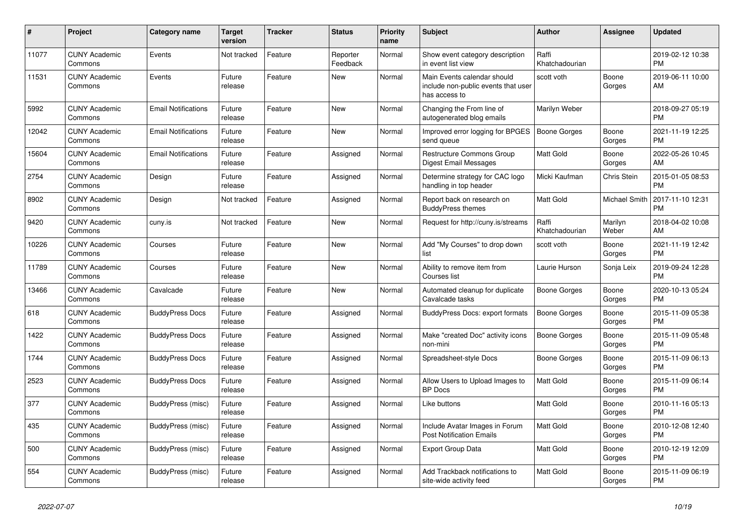| #     | Project                         | <b>Category name</b>       | <b>Target</b><br>version | <b>Tracker</b> | <b>Status</b>        | <b>Priority</b><br>name | <b>Subject</b>                                                                      | <b>Author</b>           | <b>Assignee</b>    | <b>Updated</b>                |
|-------|---------------------------------|----------------------------|--------------------------|----------------|----------------------|-------------------------|-------------------------------------------------------------------------------------|-------------------------|--------------------|-------------------------------|
| 11077 | <b>CUNY Academic</b><br>Commons | Events                     | Not tracked              | Feature        | Reporter<br>Feedback | Normal                  | Show event category description<br>in event list view                               | Raffi<br>Khatchadourian |                    | 2019-02-12 10:38<br><b>PM</b> |
| 11531 | <b>CUNY Academic</b><br>Commons | Events                     | Future<br>release        | Feature        | New                  | Normal                  | Main Events calendar should<br>include non-public events that user<br>has access to | scott voth              | Boone<br>Gorges    | 2019-06-11 10:00<br>AM        |
| 5992  | <b>CUNY Academic</b><br>Commons | <b>Email Notifications</b> | Future<br>release        | Feature        | <b>New</b>           | Normal                  | Changing the From line of<br>autogenerated blog emails                              | Marilyn Weber           |                    | 2018-09-27 05:19<br><b>PM</b> |
| 12042 | <b>CUNY Academic</b><br>Commons | <b>Email Notifications</b> | Future<br>release        | Feature        | New                  | Normal                  | Improved error logging for BPGES<br>send queue                                      | <b>Boone Gorges</b>     | Boone<br>Gorges    | 2021-11-19 12:25<br><b>PM</b> |
| 15604 | <b>CUNY Academic</b><br>Commons | <b>Email Notifications</b> | Future<br>release        | Feature        | Assigned             | Normal                  | Restructure Commons Group<br>Digest Email Messages                                  | <b>Matt Gold</b>        | Boone<br>Gorges    | 2022-05-26 10:45<br>AM        |
| 2754  | <b>CUNY Academic</b><br>Commons | Design                     | Future<br>release        | Feature        | Assigned             | Normal                  | Determine strategy for CAC logo<br>handling in top header                           | Micki Kaufman           | <b>Chris Stein</b> | 2015-01-05 08:53<br><b>PM</b> |
| 8902  | <b>CUNY Academic</b><br>Commons | Design                     | Not tracked              | Feature        | Assigned             | Normal                  | Report back on research on<br><b>BuddyPress themes</b>                              | <b>Matt Gold</b>        | Michael Smith      | 2017-11-10 12:31<br><b>PM</b> |
| 9420  | <b>CUNY Academic</b><br>Commons | cuny.is                    | Not tracked              | Feature        | New                  | Normal                  | Request for http://cuny.is/streams                                                  | Raffi<br>Khatchadourian | Marilyn<br>Weber   | 2018-04-02 10:08<br>AM        |
| 10226 | <b>CUNY Academic</b><br>Commons | Courses                    | Future<br>release        | Feature        | <b>New</b>           | Normal                  | Add "My Courses" to drop down<br>list                                               | scott voth              | Boone<br>Gorges    | 2021-11-19 12:42<br><b>PM</b> |
| 11789 | <b>CUNY Academic</b><br>Commons | Courses                    | Future<br>release        | Feature        | <b>New</b>           | Normal                  | Ability to remove item from<br>Courses list                                         | Laurie Hurson           | Sonja Leix         | 2019-09-24 12:28<br><b>PM</b> |
| 13466 | <b>CUNY Academic</b><br>Commons | Cavalcade                  | Future<br>release        | Feature        | New                  | Normal                  | Automated cleanup for duplicate<br>Cavalcade tasks                                  | <b>Boone Gorges</b>     | Boone<br>Gorges    | 2020-10-13 05:24<br><b>PM</b> |
| 618   | <b>CUNY Academic</b><br>Commons | <b>BuddyPress Docs</b>     | Future<br>release        | Feature        | Assigned             | Normal                  | BuddyPress Docs: export formats                                                     | <b>Boone Gorges</b>     | Boone<br>Gorges    | 2015-11-09 05:38<br><b>PM</b> |
| 1422  | <b>CUNY Academic</b><br>Commons | <b>BuddyPress Docs</b>     | Future<br>release        | Feature        | Assigned             | Normal                  | Make "created Doc" activity icons<br>non-mini                                       | Boone Gorges            | Boone<br>Gorges    | 2015-11-09 05:48<br><b>PM</b> |
| 1744  | <b>CUNY Academic</b><br>Commons | <b>BuddyPress Docs</b>     | Future<br>release        | Feature        | Assigned             | Normal                  | Spreadsheet-style Docs                                                              | Boone Gorges            | Boone<br>Gorges    | 2015-11-09 06:13<br><b>PM</b> |
| 2523  | <b>CUNY Academic</b><br>Commons | <b>BuddyPress Docs</b>     | Future<br>release        | Feature        | Assigned             | Normal                  | Allow Users to Upload Images to<br><b>BP</b> Docs                                   | <b>Matt Gold</b>        | Boone<br>Gorges    | 2015-11-09 06:14<br><b>PM</b> |
| 377   | <b>CUNY Academic</b><br>Commons | BuddyPress (misc)          | Future<br>release        | Feature        | Assigned             | Normal                  | Like buttons                                                                        | Matt Gold               | Boone<br>Gorges    | 2010-11-16 05:13<br><b>PM</b> |
| 435   | <b>CUNY Academic</b><br>Commons | BuddyPress (misc)          | Future<br>release        | Feature        | Assigned             | Normal                  | Include Avatar Images in Forum<br><b>Post Notification Emails</b>                   | <b>Matt Gold</b>        | Boone<br>Gorges    | 2010-12-08 12:40<br><b>PM</b> |
| 500   | <b>CUNY Academic</b><br>Commons | BuddyPress (misc)          | Future<br>release        | Feature        | Assigned             | Normal                  | <b>Export Group Data</b>                                                            | <b>Matt Gold</b>        | Boone<br>Gorges    | 2010-12-19 12:09<br><b>PM</b> |
| 554   | <b>CUNY Academic</b><br>Commons | BuddyPress (misc)          | Future<br>release        | Feature        | Assigned             | Normal                  | Add Trackback notifications to<br>site-wide activity feed                           | <b>Matt Gold</b>        | Boone<br>Gorges    | 2015-11-09 06:19<br><b>PM</b> |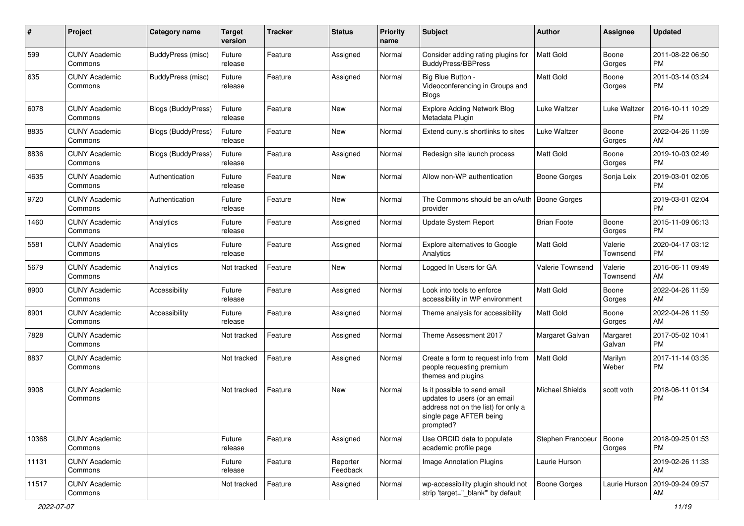| #     | Project                         | <b>Category name</b>      | <b>Target</b><br>version | <b>Tracker</b> | <b>Status</b>        | <b>Priority</b><br>name | <b>Subject</b>                                                                                                                               | Author                 | <b>Assignee</b>     | <b>Updated</b>                |
|-------|---------------------------------|---------------------------|--------------------------|----------------|----------------------|-------------------------|----------------------------------------------------------------------------------------------------------------------------------------------|------------------------|---------------------|-------------------------------|
| 599   | <b>CUNY Academic</b><br>Commons | BuddyPress (misc)         | Future<br>release        | Feature        | Assigned             | Normal                  | Consider adding rating plugins for<br><b>BuddyPress/BBPress</b>                                                                              | <b>Matt Gold</b>       | Boone<br>Gorges     | 2011-08-22 06:50<br><b>PM</b> |
| 635   | <b>CUNY Academic</b><br>Commons | BuddyPress (misc)         | Future<br>release        | Feature        | Assigned             | Normal                  | Big Blue Button -<br>Videoconferencing in Groups and<br>Blogs                                                                                | Matt Gold              | Boone<br>Gorges     | 2011-03-14 03:24<br><b>PM</b> |
| 6078  | <b>CUNY Academic</b><br>Commons | <b>Blogs (BuddyPress)</b> | Future<br>release        | Feature        | New                  | Normal                  | Explore Adding Network Blog<br>Metadata Plugin                                                                                               | Luke Waltzer           | Luke Waltzer        | 2016-10-11 10:29<br><b>PM</b> |
| 8835  | <b>CUNY Academic</b><br>Commons | Blogs (BuddyPress)        | Future<br>release        | Feature        | <b>New</b>           | Normal                  | Extend cuny.is shortlinks to sites                                                                                                           | Luke Waltzer           | Boone<br>Gorges     | 2022-04-26 11:59<br>AM        |
| 8836  | <b>CUNY Academic</b><br>Commons | Blogs (BuddyPress)        | Future<br>release        | Feature        | Assigned             | Normal                  | Redesign site launch process                                                                                                                 | <b>Matt Gold</b>       | Boone<br>Gorges     | 2019-10-03 02:49<br><b>PM</b> |
| 4635  | <b>CUNY Academic</b><br>Commons | Authentication            | Future<br>release        | Feature        | <b>New</b>           | Normal                  | Allow non-WP authentication                                                                                                                  | <b>Boone Gorges</b>    | Sonja Leix          | 2019-03-01 02:05<br><b>PM</b> |
| 9720  | <b>CUNY Academic</b><br>Commons | Authentication            | Future<br>release        | Feature        | New                  | Normal                  | The Commons should be an oAuth   Boone Gorges<br>provider                                                                                    |                        |                     | 2019-03-01 02:04<br><b>PM</b> |
| 1460  | <b>CUNY Academic</b><br>Commons | Analytics                 | Future<br>release        | Feature        | Assigned             | Normal                  | <b>Update System Report</b>                                                                                                                  | <b>Brian Foote</b>     | Boone<br>Gorges     | 2015-11-09 06:13<br><b>PM</b> |
| 5581  | <b>CUNY Academic</b><br>Commons | Analytics                 | Future<br>release        | Feature        | Assigned             | Normal                  | Explore alternatives to Google<br>Analytics                                                                                                  | <b>Matt Gold</b>       | Valerie<br>Townsend | 2020-04-17 03:12<br>PM        |
| 5679  | <b>CUNY Academic</b><br>Commons | Analytics                 | Not tracked              | Feature        | New                  | Normal                  | Logged In Users for GA                                                                                                                       | Valerie Townsend       | Valerie<br>Townsend | 2016-06-11 09:49<br>AM        |
| 8900  | <b>CUNY Academic</b><br>Commons | Accessibility             | Future<br>release        | Feature        | Assigned             | Normal                  | Look into tools to enforce<br>accessibility in WP environment                                                                                | Matt Gold              | Boone<br>Gorges     | 2022-04-26 11:59<br>AM        |
| 8901  | <b>CUNY Academic</b><br>Commons | Accessibility             | Future<br>release        | Feature        | Assigned             | Normal                  | Theme analysis for accessibility                                                                                                             | Matt Gold              | Boone<br>Gorges     | 2022-04-26 11:59<br>AM        |
| 7828  | <b>CUNY Academic</b><br>Commons |                           | Not tracked              | Feature        | Assigned             | Normal                  | Theme Assessment 2017                                                                                                                        | Margaret Galvan        | Margaret<br>Galvan  | 2017-05-02 10:41<br><b>PM</b> |
| 8837  | <b>CUNY Academic</b><br>Commons |                           | Not tracked              | Feature        | Assigned             | Normal                  | Create a form to request info from<br>people requesting premium<br>themes and plugins                                                        | Matt Gold              | Marilyn<br>Weber    | 2017-11-14 03:35<br><b>PM</b> |
| 9908  | <b>CUNY Academic</b><br>Commons |                           | Not tracked              | Feature        | New                  | Normal                  | Is it possible to send email<br>updates to users (or an email<br>address not on the list) for only a<br>single page AFTER being<br>prompted? | <b>Michael Shields</b> | scott voth          | 2018-06-11 01:34<br><b>PM</b> |
| 10368 | <b>CUNY Academic</b><br>Commons |                           | Future<br>release        | Feature        | Assigned             | Normal                  | Use ORCID data to populate<br>academic profile page                                                                                          | Stephen Francoeur      | Boone<br>Gorges     | 2018-09-25 01:53<br><b>PM</b> |
| 11131 | <b>CUNY Academic</b><br>Commons |                           | Future<br>release        | Feature        | Reporter<br>Feedback | Normal                  | Image Annotation Plugins                                                                                                                     | Laurie Hurson          |                     | 2019-02-26 11:33<br>AM        |
| 11517 | <b>CUNY Academic</b><br>Commons |                           | Not tracked              | Feature        | Assigned             | Normal                  | wp-accessibility plugin should not<br>strip 'target=" blank" by default                                                                      | Boone Gorges           | Laurie Hurson       | 2019-09-24 09:57<br>AM        |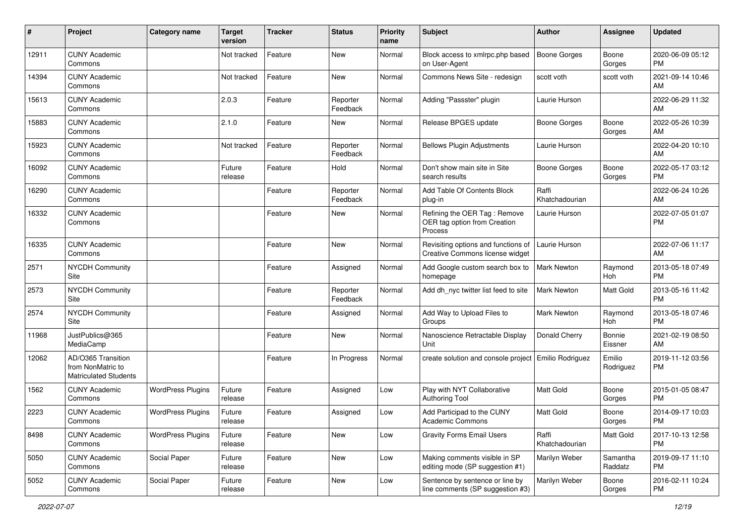| #     | Project                                                                 | <b>Category name</b>     | <b>Target</b><br>version | <b>Tracker</b> | <b>Status</b>        | <b>Priority</b><br>name | <b>Subject</b>                                                          | <b>Author</b>           | <b>Assignee</b>     | <b>Updated</b>                |
|-------|-------------------------------------------------------------------------|--------------------------|--------------------------|----------------|----------------------|-------------------------|-------------------------------------------------------------------------|-------------------------|---------------------|-------------------------------|
| 12911 | <b>CUNY Academic</b><br>Commons                                         |                          | Not tracked              | Feature        | New                  | Normal                  | Block access to xmlrpc.php based<br>on User-Agent                       | <b>Boone Gorges</b>     | Boone<br>Gorges     | 2020-06-09 05:12<br>PM        |
| 14394 | <b>CUNY Academic</b><br>Commons                                         |                          | Not tracked              | Feature        | New                  | Normal                  | Commons News Site - redesign                                            | scott voth              | scott voth          | 2021-09-14 10:46<br>AM        |
| 15613 | <b>CUNY Academic</b><br>Commons                                         |                          | 2.0.3                    | Feature        | Reporter<br>Feedback | Normal                  | Adding "Passster" plugin                                                | Laurie Hurson           |                     | 2022-06-29 11:32<br>AM        |
| 15883 | <b>CUNY Academic</b><br>Commons                                         |                          | 2.1.0                    | Feature        | New                  | Normal                  | Release BPGES update                                                    | <b>Boone Gorges</b>     | Boone<br>Gorges     | 2022-05-26 10:39<br>AM        |
| 15923 | <b>CUNY Academic</b><br>Commons                                         |                          | Not tracked              | Feature        | Reporter<br>Feedback | Normal                  | <b>Bellows Plugin Adjustments</b>                                       | Laurie Hurson           |                     | 2022-04-20 10:10<br>AM        |
| 16092 | <b>CUNY Academic</b><br>Commons                                         |                          | Future<br>release        | Feature        | Hold                 | Normal                  | Don't show main site in Site<br>search results                          | <b>Boone Gorges</b>     | Boone<br>Gorges     | 2022-05-17 03:12<br>PM        |
| 16290 | <b>CUNY Academic</b><br>Commons                                         |                          |                          | Feature        | Reporter<br>Feedback | Normal                  | Add Table Of Contents Block<br>plug-in                                  | Raffi<br>Khatchadourian |                     | 2022-06-24 10:26<br>AM        |
| 16332 | <b>CUNY Academic</b><br>Commons                                         |                          |                          | Feature        | New                  | Normal                  | Refining the OER Tag: Remove<br>OER tag option from Creation<br>Process | Laurie Hurson           |                     | 2022-07-05 01:07<br>PM        |
| 16335 | <b>CUNY Academic</b><br>Commons                                         |                          |                          | Feature        | <b>New</b>           | Normal                  | Revisiting options and functions of<br>Creative Commons license widget  | Laurie Hurson           |                     | 2022-07-06 11:17<br>AM        |
| 2571  | <b>NYCDH Community</b><br>Site                                          |                          |                          | Feature        | Assigned             | Normal                  | Add Google custom search box to<br>homepage                             | Mark Newton             | Raymond<br>Hoh      | 2013-05-18 07:49<br><b>PM</b> |
| 2573  | <b>NYCDH Community</b><br>Site                                          |                          |                          | Feature        | Reporter<br>Feedback | Normal                  | Add dh_nyc twitter list feed to site                                    | <b>Mark Newton</b>      | Matt Gold           | 2013-05-16 11:42<br>PM        |
| 2574  | <b>NYCDH Community</b><br>Site                                          |                          |                          | Feature        | Assigned             | Normal                  | Add Way to Upload Files to<br>Groups                                    | Mark Newton             | Raymond<br>Hoh      | 2013-05-18 07:46<br><b>PM</b> |
| 11968 | JustPublics@365<br>MediaCamp                                            |                          |                          | Feature        | <b>New</b>           | Normal                  | Nanoscience Retractable Display<br>Unit                                 | Donald Cherry           | Bonnie<br>Eissner   | 2021-02-19 08:50<br>AM        |
| 12062 | AD/O365 Transition<br>from NonMatric to<br><b>Matriculated Students</b> |                          |                          | Feature        | In Progress          | Normal                  | create solution and console project                                     | Emilio Rodriguez        | Emilio<br>Rodriguez | 2019-11-12 03:56<br>PM        |
| 1562  | <b>CUNY Academic</b><br>Commons                                         | <b>WordPress Plugins</b> | Future<br>release        | Feature        | Assigned             | Low                     | Play with NYT Collaborative<br><b>Authoring Tool</b>                    | <b>Matt Gold</b>        | Boone<br>Gorges     | 2015-01-05 08:47<br>PM        |
| 2223  | <b>CUNY Academic</b><br>Commons                                         | <b>WordPress Plugins</b> | Future<br>release        | Feature        | Assigned             | Low                     | Add Participad to the CUNY<br>Academic Commons                          | Matt Gold               | Boone<br>Gorges     | 2014-09-17 10:03<br>PM        |
| 8498  | <b>CUNY Academic</b><br>Commons                                         | <b>WordPress Plugins</b> | Future<br>release        | Feature        | New                  | Low                     | <b>Gravity Forms Email Users</b>                                        | Raffi<br>Khatchadourian | Matt Gold           | 2017-10-13 12:58<br><b>PM</b> |
| 5050  | <b>CUNY Academic</b><br>Commons                                         | Social Paper             | Future<br>release        | Feature        | New                  | Low                     | Making comments visible in SP<br>editing mode (SP suggestion #1)        | Marilyn Weber           | Samantha<br>Raddatz | 2019-09-17 11:10<br><b>PM</b> |
| 5052  | <b>CUNY Academic</b><br>Commons                                         | Social Paper             | Future<br>release        | Feature        | New                  | Low                     | Sentence by sentence or line by<br>line comments (SP suggestion #3)     | Marilyn Weber           | Boone<br>Gorges     | 2016-02-11 10:24<br>PM        |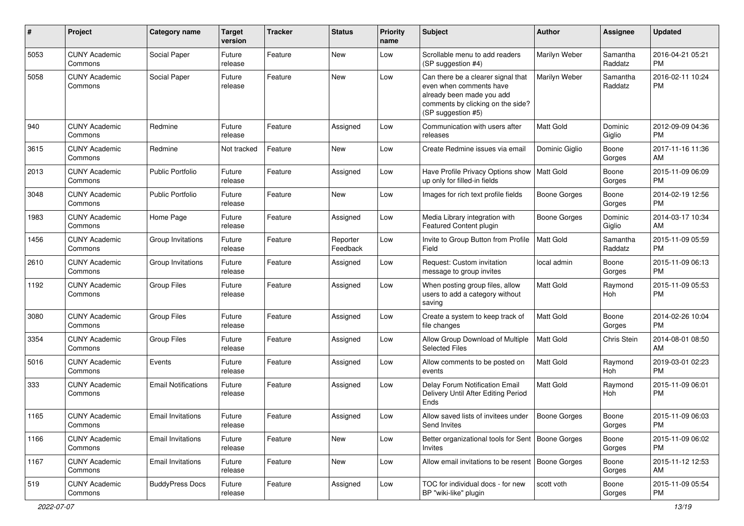| $\#$ | Project                         | <b>Category name</b>       | <b>Target</b><br>version | <b>Tracker</b> | <b>Status</b>        | Priority<br>name | <b>Subject</b>                                                                                                                                        | Author              | <b>Assignee</b>     | <b>Updated</b>                |
|------|---------------------------------|----------------------------|--------------------------|----------------|----------------------|------------------|-------------------------------------------------------------------------------------------------------------------------------------------------------|---------------------|---------------------|-------------------------------|
| 5053 | <b>CUNY Academic</b><br>Commons | Social Paper               | Future<br>release        | Feature        | <b>New</b>           | Low              | Scrollable menu to add readers<br>(SP suggestion #4)                                                                                                  | Marilyn Weber       | Samantha<br>Raddatz | 2016-04-21 05:21<br><b>PM</b> |
| 5058 | <b>CUNY Academic</b><br>Commons | Social Paper               | Future<br>release        | Feature        | New                  | Low              | Can there be a clearer signal that<br>even when comments have<br>already been made you add<br>comments by clicking on the side?<br>(SP suggestion #5) | Marilyn Weber       | Samantha<br>Raddatz | 2016-02-11 10:24<br><b>PM</b> |
| 940  | <b>CUNY Academic</b><br>Commons | Redmine                    | Future<br>release        | Feature        | Assigned             | Low              | Communication with users after<br>releases                                                                                                            | Matt Gold           | Dominic<br>Giglio   | 2012-09-09 04:36<br><b>PM</b> |
| 3615 | <b>CUNY Academic</b><br>Commons | Redmine                    | Not tracked              | Feature        | New                  | Low              | Create Redmine issues via email                                                                                                                       | Dominic Giglio      | Boone<br>Gorges     | 2017-11-16 11:36<br>AM        |
| 2013 | <b>CUNY Academic</b><br>Commons | <b>Public Portfolio</b>    | Future<br>release        | Feature        | Assigned             | Low              | Have Profile Privacy Options show   Matt Gold<br>up only for filled-in fields                                                                         |                     | Boone<br>Gorges     | 2015-11-09 06:09<br><b>PM</b> |
| 3048 | <b>CUNY Academic</b><br>Commons | <b>Public Portfolio</b>    | Future<br>release        | Feature        | New                  | Low              | Images for rich text profile fields                                                                                                                   | <b>Boone Gorges</b> | Boone<br>Gorges     | 2014-02-19 12:56<br><b>PM</b> |
| 1983 | <b>CUNY Academic</b><br>Commons | Home Page                  | Future<br>release        | Feature        | Assigned             | Low              | Media Library integration with<br>Featured Content plugin                                                                                             | Boone Gorges        | Dominic<br>Giglio   | 2014-03-17 10:34<br>AM        |
| 1456 | <b>CUNY Academic</b><br>Commons | Group Invitations          | Future<br>release        | Feature        | Reporter<br>Feedback | Low              | Invite to Group Button from Profile<br>Field                                                                                                          | Matt Gold           | Samantha<br>Raddatz | 2015-11-09 05:59<br><b>PM</b> |
| 2610 | <b>CUNY Academic</b><br>Commons | Group Invitations          | Future<br>release        | Feature        | Assigned             | Low              | Request: Custom invitation<br>message to group invites                                                                                                | local admin         | Boone<br>Gorges     | 2015-11-09 06:13<br><b>PM</b> |
| 1192 | <b>CUNY Academic</b><br>Commons | <b>Group Files</b>         | Future<br>release        | Feature        | Assigned             | Low              | When posting group files, allow<br>users to add a category without<br>saving                                                                          | Matt Gold           | Raymond<br>Hoh      | 2015-11-09 05:53<br><b>PM</b> |
| 3080 | <b>CUNY Academic</b><br>Commons | <b>Group Files</b>         | Future<br>release        | Feature        | Assigned             | Low              | Create a system to keep track of<br>file changes                                                                                                      | <b>Matt Gold</b>    | Boone<br>Gorges     | 2014-02-26 10:04<br><b>PM</b> |
| 3354 | <b>CUNY Academic</b><br>Commons | <b>Group Files</b>         | Future<br>release        | Feature        | Assigned             | Low              | Allow Group Download of Multiple<br><b>Selected Files</b>                                                                                             | <b>Matt Gold</b>    | Chris Stein         | 2014-08-01 08:50<br>AM        |
| 5016 | <b>CUNY Academic</b><br>Commons | Events                     | Future<br>release        | Feature        | Assigned             | Low              | Allow comments to be posted on<br>events                                                                                                              | <b>Matt Gold</b>    | Raymond<br>Hoh      | 2019-03-01 02:23<br><b>PM</b> |
| 333  | <b>CUNY Academic</b><br>Commons | <b>Email Notifications</b> | Future<br>release        | Feature        | Assigned             | Low              | Delay Forum Notification Email<br>Delivery Until After Editing Period<br>Ends                                                                         | Matt Gold           | Raymond<br>Hoh      | 2015-11-09 06:01<br><b>PM</b> |
| 1165 | <b>CUNY Academic</b><br>Commons | <b>Email Invitations</b>   | Future<br>release        | Feature        | Assigned             | Low              | Allow saved lists of invitees under<br>Send Invites                                                                                                   | <b>Boone Gorges</b> | Boone<br>Gorges     | 2015-11-09 06:03<br>PM        |
| 1166 | <b>CUNY Academic</b><br>Commons | <b>Email Invitations</b>   | Future<br>release        | Feature        | New                  | Low              | Better organizational tools for Sent   Boone Gorges<br><b>Invites</b>                                                                                 |                     | Boone<br>Gorges     | 2015-11-09 06:02<br><b>PM</b> |
| 1167 | <b>CUNY Academic</b><br>Commons | <b>Email Invitations</b>   | Future<br>release        | Feature        | New                  | Low              | Allow email invitations to be resent   Boone Gorges                                                                                                   |                     | Boone<br>Gorges     | 2015-11-12 12:53<br>AM        |
| 519  | <b>CUNY Academic</b><br>Commons | <b>BuddyPress Docs</b>     | Future<br>release        | Feature        | Assigned             | Low              | TOC for individual docs - for new<br>BP "wiki-like" plugin                                                                                            | scott voth          | Boone<br>Gorges     | 2015-11-09 05:54<br>PM        |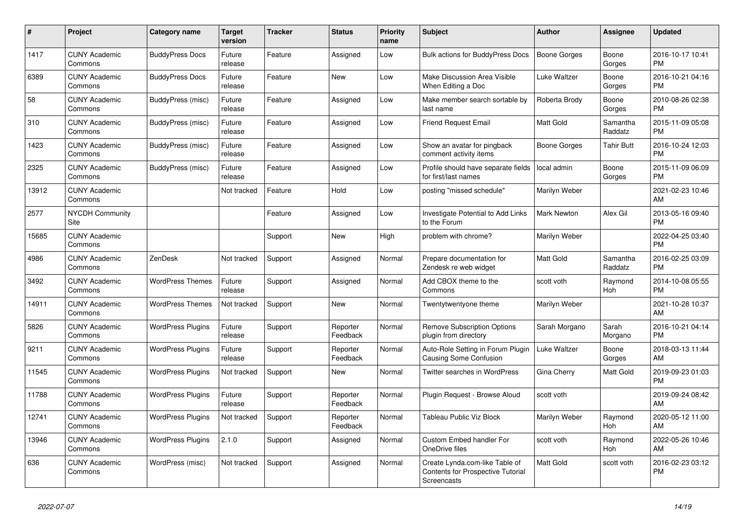| #     | <b>Project</b>                  | <b>Category name</b>     | <b>Target</b><br>version | <b>Tracker</b> | <b>Status</b>        | <b>Priority</b><br>name | <b>Subject</b>                                                                            | <b>Author</b>      | Assignee            | <b>Updated</b>                |
|-------|---------------------------------|--------------------------|--------------------------|----------------|----------------------|-------------------------|-------------------------------------------------------------------------------------------|--------------------|---------------------|-------------------------------|
| 1417  | <b>CUNY Academic</b><br>Commons | <b>BuddyPress Docs</b>   | Future<br>release        | Feature        | Assigned             | Low                     | <b>Bulk actions for BuddyPress Docs</b>                                                   | Boone Gorges       | Boone<br>Gorges     | 2016-10-17 10:41<br><b>PM</b> |
| 6389  | <b>CUNY Academic</b><br>Commons | <b>BuddyPress Docs</b>   | Future<br>release        | Feature        | <b>New</b>           | Low                     | Make Discussion Area Visible<br>When Editing a Doc                                        | Luke Waltzer       | Boone<br>Gorges     | 2016-10-21 04:16<br><b>PM</b> |
| 58    | <b>CUNY Academic</b><br>Commons | BuddyPress (misc)        | Future<br>release        | Feature        | Assigned             | Low                     | Make member search sortable by<br>last name                                               | Roberta Brody      | Boone<br>Gorges     | 2010-08-26 02:38<br><b>PM</b> |
| 310   | <b>CUNY Academic</b><br>Commons | BuddyPress (misc)        | Future<br>release        | Feature        | Assigned             | Low                     | <b>Friend Request Email</b>                                                               | Matt Gold          | Samantha<br>Raddatz | 2015-11-09 05:08<br><b>PM</b> |
| 1423  | <b>CUNY Academic</b><br>Commons | BuddyPress (misc)        | Future<br>release        | Feature        | Assigned             | Low                     | Show an avatar for pingback<br>comment activity items                                     | Boone Gorges       | Tahir Butt          | 2016-10-24 12:03<br><b>PM</b> |
| 2325  | <b>CUNY Academic</b><br>Commons | BuddyPress (misc)        | Future<br>release        | Feature        | Assigned             | Low                     | Profile should have separate fields<br>for first/last names                               | local admin        | Boone<br>Gorges     | 2015-11-09 06:09<br><b>PM</b> |
| 13912 | <b>CUNY Academic</b><br>Commons |                          | Not tracked              | Feature        | Hold                 | Low                     | posting "missed schedule"                                                                 | Marilyn Weber      |                     | 2021-02-23 10:46<br>AM        |
| 2577  | <b>NYCDH Community</b><br>Site  |                          |                          | Feature        | Assigned             | Low                     | <b>Investigate Potential to Add Links</b><br>to the Forum                                 | <b>Mark Newton</b> | Alex Gil            | 2013-05-16 09:40<br><b>PM</b> |
| 15685 | <b>CUNY Academic</b><br>Commons |                          |                          | Support        | New                  | High                    | problem with chrome?                                                                      | Marilyn Weber      |                     | 2022-04-25 03:40<br><b>PM</b> |
| 4986  | <b>CUNY Academic</b><br>Commons | ZenDesk                  | Not tracked              | Support        | Assigned             | Normal                  | Prepare documentation for<br>Zendesk re web widget                                        | <b>Matt Gold</b>   | Samantha<br>Raddatz | 2016-02-25 03:09<br><b>PM</b> |
| 3492  | <b>CUNY Academic</b><br>Commons | <b>WordPress Themes</b>  | Future<br>release        | Support        | Assigned             | Normal                  | Add CBOX theme to the<br>Commons                                                          | scott voth         | Raymond<br>Hoh      | 2014-10-08 05:55<br><b>PM</b> |
| 14911 | <b>CUNY Academic</b><br>Commons | <b>WordPress Themes</b>  | Not tracked              | Support        | New                  | Normal                  | Twentytwentyone theme                                                                     | Marilyn Weber      |                     | 2021-10-28 10:37<br>AM        |
| 5826  | <b>CUNY Academic</b><br>Commons | <b>WordPress Plugins</b> | Future<br>release        | Support        | Reporter<br>Feedback | Normal                  | <b>Remove Subscription Options</b><br>plugin from directory                               | Sarah Morgano      | Sarah<br>Morgano    | 2016-10-21 04:14<br><b>PM</b> |
| 9211  | <b>CUNY Academic</b><br>Commons | <b>WordPress Plugins</b> | Future<br>release        | Support        | Reporter<br>Feedback | Normal                  | Auto-Role Setting in Forum Plugin<br>Causing Some Confusion                               | Luke Waltzer       | Boone<br>Gorges     | 2018-03-13 11:44<br>AM        |
| 11545 | <b>CUNY Academic</b><br>Commons | <b>WordPress Plugins</b> | Not tracked              | Support        | New                  | Normal                  | Twitter searches in WordPress                                                             | Gina Cherry        | Matt Gold           | 2019-09-23 01:03<br><b>PM</b> |
| 11788 | <b>CUNY Academic</b><br>Commons | <b>WordPress Plugins</b> | Future<br>release        | Support        | Reporter<br>Feedback | Normal                  | Plugin Request - Browse Aloud                                                             | scott voth         |                     | 2019-09-24 08:42<br>AM        |
| 12741 | <b>CUNY Academic</b><br>Commons | <b>WordPress Plugins</b> | Not tracked              | Support        | Reporter<br>Feedback | Normal                  | Tableau Public Viz Block                                                                  | Marilyn Weber      | Raymond<br>Hoh      | 2020-05-12 11:00<br>AM        |
| 13946 | <b>CUNY Academic</b><br>Commons | <b>WordPress Plugins</b> | 2.1.0                    | Support        | Assigned             | Normal                  | Custom Embed handler For<br>OneDrive files                                                | scott voth         | Raymond<br>Hoh      | 2022-05-26 10:46<br>AM        |
| 636   | <b>CUNY Academic</b><br>Commons | WordPress (misc)         | Not tracked              | Support        | Assigned             | Normal                  | Create Lynda.com-like Table of<br><b>Contents for Prospective Tutorial</b><br>Screencasts | Matt Gold          | scott voth          | 2016-02-23 03:12<br><b>PM</b> |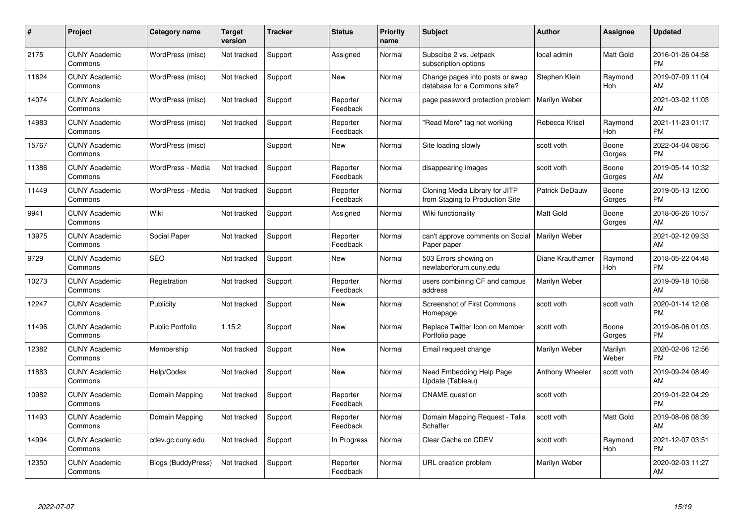| $\#$  | Project                         | <b>Category name</b>    | <b>Target</b><br>version | <b>Tracker</b> | <b>Status</b>        | <b>Priority</b><br>name | <b>Subject</b>                                                    | <b>Author</b>    | <b>Assignee</b>  | <b>Updated</b>                |
|-------|---------------------------------|-------------------------|--------------------------|----------------|----------------------|-------------------------|-------------------------------------------------------------------|------------------|------------------|-------------------------------|
| 2175  | <b>CUNY Academic</b><br>Commons | WordPress (misc)        | Not tracked              | Support        | Assigned             | Normal                  | Subscibe 2 vs. Jetpack<br>subscription options                    | local admin      | Matt Gold        | 2016-01-26 04:58<br><b>PM</b> |
| 11624 | <b>CUNY Academic</b><br>Commons | WordPress (misc)        | Not tracked              | Support        | <b>New</b>           | Normal                  | Change pages into posts or swap<br>database for a Commons site?   | Stephen Klein    | Raymond<br>Hoh   | 2019-07-09 11:04<br>AM        |
| 14074 | <b>CUNY Academic</b><br>Commons | WordPress (misc)        | Not tracked              | Support        | Reporter<br>Feedback | Normal                  | page password protection problem                                  | Marilyn Weber    |                  | 2021-03-02 11:03<br>AM        |
| 14983 | <b>CUNY Academic</b><br>Commons | WordPress (misc)        | Not tracked              | Support        | Reporter<br>Feedback | Normal                  | 'Read More" tag not working                                       | Rebecca Krisel   | Raymond<br>Hoh   | 2021-11-23 01:17<br><b>PM</b> |
| 15767 | <b>CUNY Academic</b><br>Commons | WordPress (misc)        |                          | Support        | <b>New</b>           | Normal                  | Site loading slowly                                               | scott voth       | Boone<br>Gorges  | 2022-04-04 08:56<br><b>PM</b> |
| 11386 | <b>CUNY Academic</b><br>Commons | WordPress - Media       | Not tracked              | Support        | Reporter<br>Feedback | Normal                  | disappearing images                                               | scott voth       | Boone<br>Gorges  | 2019-05-14 10:32<br>AM        |
| 11449 | <b>CUNY Academic</b><br>Commons | WordPress - Media       | Not tracked              | Support        | Reporter<br>Feedback | Normal                  | Cloning Media Library for JITP<br>from Staging to Production Site | Patrick DeDauw   | Boone<br>Gorges  | 2019-05-13 12:00<br><b>PM</b> |
| 9941  | <b>CUNY Academic</b><br>Commons | Wiki                    | Not tracked              | Support        | Assigned             | Normal                  | Wiki functionality                                                | <b>Matt Gold</b> | Boone<br>Gorges  | 2018-06-26 10:57<br>AM        |
| 13975 | <b>CUNY Academic</b><br>Commons | Social Paper            | Not tracked              | Support        | Reporter<br>Feedback | Normal                  | can't approve comments on Social<br>Paper paper                   | Marilyn Weber    |                  | 2021-02-12 09:33<br>AM        |
| 9729  | <b>CUNY Academic</b><br>Commons | <b>SEO</b>              | Not tracked              | Support        | New                  | Normal                  | 503 Errors showing on<br>newlaborforum.cuny.edu                   | Diane Krauthamer | Raymond<br>Hoh   | 2018-05-22 04:48<br><b>PM</b> |
| 10273 | <b>CUNY Academic</b><br>Commons | Registration            | Not tracked              | Support        | Reporter<br>Feedback | Normal                  | users combining CF and campus<br>address                          | Marilyn Weber    |                  | 2019-09-18 10:58<br>AM        |
| 12247 | <b>CUNY Academic</b><br>Commons | Publicity               | Not tracked              | Support        | New                  | Normal                  | <b>Screenshot of First Commons</b><br>Homepage                    | scott voth       | scott voth       | 2020-01-14 12:08<br><b>PM</b> |
| 11496 | <b>CUNY Academic</b><br>Commons | <b>Public Portfolio</b> | 1.15.2                   | Support        | New                  | Normal                  | Replace Twitter Icon on Member<br>Portfolio page                  | scott voth       | Boone<br>Gorges  | 2019-06-06 01:03<br><b>PM</b> |
| 12382 | <b>CUNY Academic</b><br>Commons | Membership              | Not tracked              | Support        | New                  | Normal                  | Email request change                                              | Marilyn Weber    | Marilyn<br>Weber | 2020-02-06 12:56<br><b>PM</b> |
| 11883 | <b>CUNY Academic</b><br>Commons | Help/Codex              | Not tracked              | Support        | <b>New</b>           | Normal                  | Need Embedding Help Page<br>Update (Tableau)                      | Anthony Wheeler  | scott voth       | 2019-09-24 08:49<br>AM        |
| 10982 | <b>CUNY Academic</b><br>Commons | Domain Mapping          | Not tracked              | Support        | Reporter<br>Feedback | Normal                  | <b>CNAME</b> question                                             | scott voth       |                  | 2019-01-22 04:29<br><b>PM</b> |
| 11493 | <b>CUNY Academic</b><br>Commons | Domain Mapping          | Not tracked              | Support        | Reporter<br>Feedback | Normal                  | Domain Mapping Request - Talia<br>Schaffer                        | scott voth       | Matt Gold        | 2019-08-06 08:39<br>AM        |
| 14994 | <b>CUNY Academic</b><br>Commons | cdev.gc.cuny.edu        | Not tracked              | Support        | In Progress          | Normal                  | Clear Cache on CDEV                                               | scott voth       | Raymond<br>Hoh   | 2021-12-07 03:51<br><b>PM</b> |
| 12350 | CUNY Academic<br>Commons        | Blogs (BuddyPress)      | Not tracked              | Support        | Reporter<br>Feedback | Normal                  | URL creation problem                                              | Marilyn Weber    |                  | 2020-02-03 11:27<br>AM        |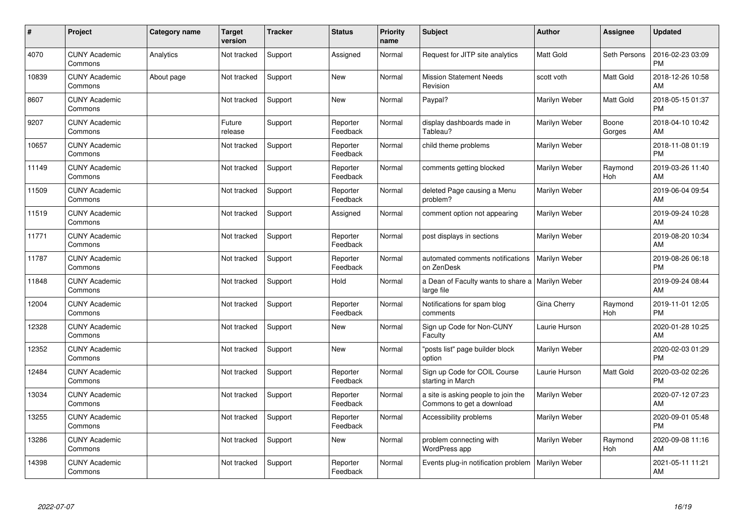| #     | Project                         | Category name | <b>Target</b><br>version | <b>Tracker</b> | <b>Status</b>        | <b>Priority</b><br>name | <b>Subject</b>                                                   | <b>Author</b>    | <b>Assignee</b> | <b>Updated</b>                |
|-------|---------------------------------|---------------|--------------------------|----------------|----------------------|-------------------------|------------------------------------------------------------------|------------------|-----------------|-------------------------------|
| 4070  | <b>CUNY Academic</b><br>Commons | Analytics     | Not tracked              | Support        | Assigned             | Normal                  | Request for JITP site analytics                                  | <b>Matt Gold</b> | Seth Persons    | 2016-02-23 03:09<br><b>PM</b> |
| 10839 | <b>CUNY Academic</b><br>Commons | About page    | Not tracked              | Support        | <b>New</b>           | Normal                  | <b>Mission Statement Needs</b><br>Revision                       | scott voth       | Matt Gold       | 2018-12-26 10:58<br>AM        |
| 8607  | <b>CUNY Academic</b><br>Commons |               | Not tracked              | Support        | <b>New</b>           | Normal                  | Paypal?                                                          | Marilyn Weber    | Matt Gold       | 2018-05-15 01:37<br><b>PM</b> |
| 9207  | <b>CUNY Academic</b><br>Commons |               | Future<br>release        | Support        | Reporter<br>Feedback | Normal                  | display dashboards made in<br>Tableau?                           | Marilyn Weber    | Boone<br>Gorges | 2018-04-10 10:42<br>AM        |
| 10657 | <b>CUNY Academic</b><br>Commons |               | Not tracked              | Support        | Reporter<br>Feedback | Normal                  | child theme problems                                             | Marilyn Weber    |                 | 2018-11-08 01:19<br><b>PM</b> |
| 11149 | <b>CUNY Academic</b><br>Commons |               | Not tracked              | Support        | Reporter<br>Feedback | Normal                  | comments getting blocked                                         | Marilyn Weber    | Raymond<br>Hoh  | 2019-03-26 11:40<br>AM        |
| 11509 | <b>CUNY Academic</b><br>Commons |               | Not tracked              | Support        | Reporter<br>Feedback | Normal                  | deleted Page causing a Menu<br>problem?                          | Marilyn Weber    |                 | 2019-06-04 09:54<br>AM        |
| 11519 | <b>CUNY Academic</b><br>Commons |               | Not tracked              | Support        | Assigned             | Normal                  | comment option not appearing                                     | Marilyn Weber    |                 | 2019-09-24 10:28<br>AM        |
| 11771 | <b>CUNY Academic</b><br>Commons |               | Not tracked              | Support        | Reporter<br>Feedback | Normal                  | post displays in sections                                        | Marilyn Weber    |                 | 2019-08-20 10:34<br>AM        |
| 11787 | <b>CUNY Academic</b><br>Commons |               | Not tracked              | Support        | Reporter<br>Feedback | Normal                  | automated comments notifications<br>on ZenDesk                   | Marilyn Weber    |                 | 2019-08-26 06:18<br><b>PM</b> |
| 11848 | <b>CUNY Academic</b><br>Commons |               | Not tracked              | Support        | Hold                 | Normal                  | a Dean of Faculty wants to share a<br>large file                 | Marilyn Weber    |                 | 2019-09-24 08:44<br>AM        |
| 12004 | <b>CUNY Academic</b><br>Commons |               | Not tracked              | Support        | Reporter<br>Feedback | Normal                  | Notifications for spam blog<br>comments                          | Gina Cherry      | Raymond<br>Hoh  | 2019-11-01 12:05<br><b>PM</b> |
| 12328 | <b>CUNY Academic</b><br>Commons |               | Not tracked              | Support        | <b>New</b>           | Normal                  | Sign up Code for Non-CUNY<br>Faculty                             | Laurie Hurson    |                 | 2020-01-28 10:25<br>AM        |
| 12352 | <b>CUNY Academic</b><br>Commons |               | Not tracked              | Support        | <b>New</b>           | Normal                  | "posts list" page builder block<br>option                        | Marilyn Weber    |                 | 2020-02-03 01:29<br><b>PM</b> |
| 12484 | <b>CUNY Academic</b><br>Commons |               | Not tracked              | Support        | Reporter<br>Feedback | Normal                  | Sign up Code for COIL Course<br>starting in March                | Laurie Hurson    | Matt Gold       | 2020-03-02 02:26<br><b>PM</b> |
| 13034 | <b>CUNY Academic</b><br>Commons |               | Not tracked              | Support        | Reporter<br>Feedback | Normal                  | a site is asking people to join the<br>Commons to get a download | Marilyn Weber    |                 | 2020-07-12 07:23<br>AM        |
| 13255 | <b>CUNY Academic</b><br>Commons |               | Not tracked              | Support        | Reporter<br>Feedback | Normal                  | Accessibility problems                                           | Marilyn Weber    |                 | 2020-09-01 05:48<br><b>PM</b> |
| 13286 | <b>CUNY Academic</b><br>Commons |               | Not tracked              | Support        | New                  | Normal                  | problem connecting with<br>WordPress app                         | Marilyn Weber    | Raymond<br>Hoh  | 2020-09-08 11:16<br>AM        |
| 14398 | <b>CUNY Academic</b><br>Commons |               | Not tracked              | Support        | Reporter<br>Feedback | Normal                  | Events plug-in notification problem                              | Marilyn Weber    |                 | 2021-05-11 11:21<br>AM        |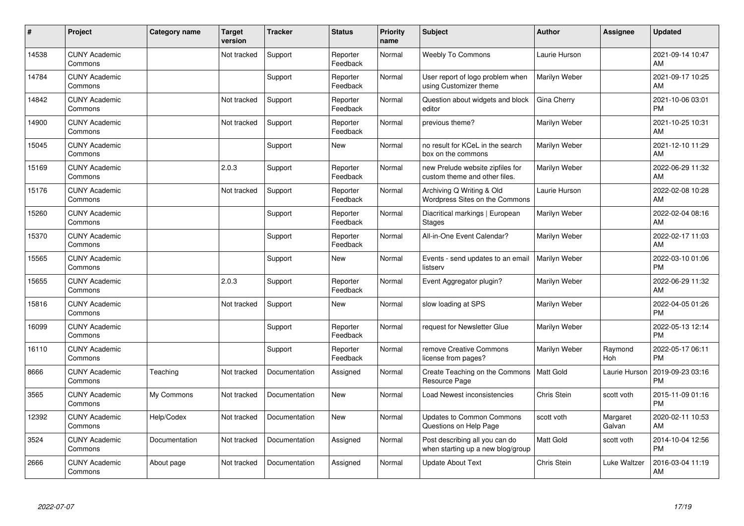| #     | Project                         | Category name | <b>Target</b><br>version | <b>Tracker</b> | <b>Status</b>        | <b>Priority</b><br>name | <b>Subject</b>                                                      | <b>Author</b>        | <b>Assignee</b>    | <b>Updated</b>                |
|-------|---------------------------------|---------------|--------------------------|----------------|----------------------|-------------------------|---------------------------------------------------------------------|----------------------|--------------------|-------------------------------|
| 14538 | <b>CUNY Academic</b><br>Commons |               | Not tracked              | Support        | Reporter<br>Feedback | Normal                  | <b>Weebly To Commons</b>                                            | Laurie Hurson        |                    | 2021-09-14 10:47<br>AM        |
| 14784 | <b>CUNY Academic</b><br>Commons |               |                          | Support        | Reporter<br>Feedback | Normal                  | User report of logo problem when<br>using Customizer theme          | Marilyn Weber        |                    | 2021-09-17 10:25<br>AM        |
| 14842 | <b>CUNY Academic</b><br>Commons |               | Not tracked              | Support        | Reporter<br>Feedback | Normal                  | Question about widgets and block<br>editor                          | Gina Cherry          |                    | 2021-10-06 03:01<br><b>PM</b> |
| 14900 | <b>CUNY Academic</b><br>Commons |               | Not tracked              | Support        | Reporter<br>Feedback | Normal                  | previous theme?                                                     | Marilyn Weber        |                    | 2021-10-25 10:31<br>AM        |
| 15045 | <b>CUNY Academic</b><br>Commons |               |                          | Support        | <b>New</b>           | Normal                  | no result for KCeL in the search<br>box on the commons              | Marilyn Weber        |                    | 2021-12-10 11:29<br>AM        |
| 15169 | <b>CUNY Academic</b><br>Commons |               | 2.0.3                    | Support        | Reporter<br>Feedback | Normal                  | new Prelude website zipfiles for<br>custom theme and other files.   | Marilyn Weber        |                    | 2022-06-29 11:32<br>AM        |
| 15176 | <b>CUNY Academic</b><br>Commons |               | Not tracked              | Support        | Reporter<br>Feedback | Normal                  | Archiving Q Writing & Old<br>Wordpress Sites on the Commons         | Laurie Hurson        |                    | 2022-02-08 10:28<br>AM        |
| 15260 | <b>CUNY Academic</b><br>Commons |               |                          | Support        | Reporter<br>Feedback | Normal                  | Diacritical markings   European<br><b>Stages</b>                    | Marilyn Weber        |                    | 2022-02-04 08:16<br>AM        |
| 15370 | <b>CUNY Academic</b><br>Commons |               |                          | Support        | Reporter<br>Feedback | Normal                  | All-in-One Event Calendar?                                          | Marilyn Weber        |                    | 2022-02-17 11:03<br>AM        |
| 15565 | <b>CUNY Academic</b><br>Commons |               |                          | Support        | <b>New</b>           | Normal                  | Events - send updates to an email<br>listserv                       | <b>Marilyn Weber</b> |                    | 2022-03-10 01:06<br>PM        |
| 15655 | <b>CUNY Academic</b><br>Commons |               | 2.0.3                    | Support        | Reporter<br>Feedback | Normal                  | Event Aggregator plugin?                                            | Marilyn Weber        |                    | 2022-06-29 11:32<br>AM        |
| 15816 | <b>CUNY Academic</b><br>Commons |               | Not tracked              | Support        | New                  | Normal                  | slow loading at SPS                                                 | Marilyn Weber        |                    | 2022-04-05 01:26<br><b>PM</b> |
| 16099 | <b>CUNY Academic</b><br>Commons |               |                          | Support        | Reporter<br>Feedback | Normal                  | request for Newsletter Glue                                         | Marilyn Weber        |                    | 2022-05-13 12:14<br><b>PM</b> |
| 16110 | <b>CUNY Academic</b><br>Commons |               |                          | Support        | Reporter<br>Feedback | Normal                  | remove Creative Commons<br>license from pages?                      | Marilyn Weber        | Raymond<br>Hoh     | 2022-05-17 06:11<br>PM        |
| 8666  | <b>CUNY Academic</b><br>Commons | Teaching      | Not tracked              | Documentation  | Assigned             | Normal                  | Create Teaching on the Commons<br>Resource Page                     | Matt Gold            | Laurie Hurson      | 2019-09-23 03:16<br><b>PM</b> |
| 3565  | <b>CUNY Academic</b><br>Commons | My Commons    | Not tracked              | Documentation  | <b>New</b>           | Normal                  | Load Newest inconsistencies                                         | Chris Stein          | scott voth         | 2015-11-09 01:16<br><b>PM</b> |
| 12392 | <b>CUNY Academic</b><br>Commons | Help/Codex    | Not tracked              | Documentation  | New                  | Normal                  | <b>Updates to Common Commons</b><br>Questions on Help Page          | scott voth           | Margaret<br>Galvan | 2020-02-11 10:53<br>AM        |
| 3524  | <b>CUNY Academic</b><br>Commons | Documentation | Not tracked              | Documentation  | Assigned             | Normal                  | Post describing all you can do<br>when starting up a new blog/group | Matt Gold            | scott voth         | 2014-10-04 12:56<br><b>PM</b> |
| 2666  | <b>CUNY Academic</b><br>Commons | About page    | Not tracked              | Documentation  | Assigned             | Normal                  | <b>Update About Text</b>                                            | Chris Stein          | Luke Waltzer       | 2016-03-04 11:19<br>AM        |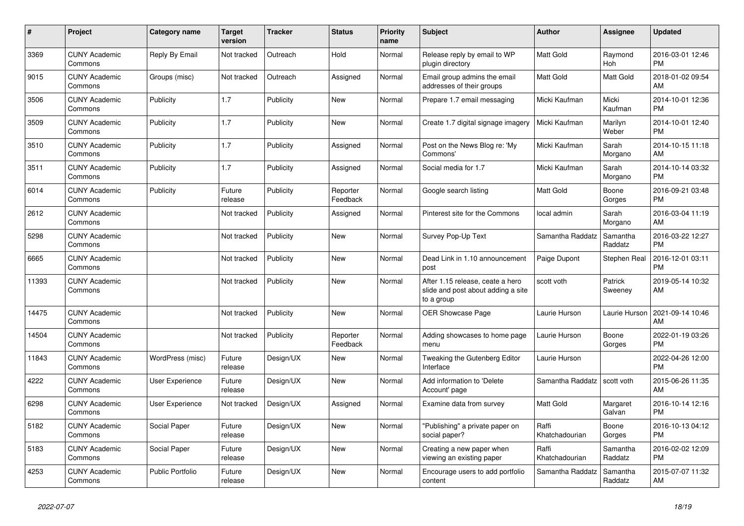| #     | <b>Project</b>                  | <b>Category name</b> | <b>Target</b><br>version | <b>Tracker</b> | <b>Status</b>        | <b>Priority</b><br>name | <b>Subject</b>                                                                       | <b>Author</b>           | Assignee            | <b>Updated</b>                |
|-------|---------------------------------|----------------------|--------------------------|----------------|----------------------|-------------------------|--------------------------------------------------------------------------------------|-------------------------|---------------------|-------------------------------|
| 3369  | <b>CUNY Academic</b><br>Commons | Reply By Email       | Not tracked              | Outreach       | Hold                 | Normal                  | Release reply by email to WP<br>plugin directory                                     | <b>Matt Gold</b>        | Raymond<br>Hoh      | 2016-03-01 12:46<br><b>PM</b> |
| 9015  | <b>CUNY Academic</b><br>Commons | Groups (misc)        | Not tracked              | Outreach       | Assigned             | Normal                  | Email group admins the email<br>addresses of their groups                            | <b>Matt Gold</b>        | Matt Gold           | 2018-01-02 09:54<br>AM        |
| 3506  | <b>CUNY Academic</b><br>Commons | Publicity            | 1.7                      | Publicity      | New                  | Normal                  | Prepare 1.7 email messaging                                                          | Micki Kaufman           | Micki<br>Kaufman    | 2014-10-01 12:36<br><b>PM</b> |
| 3509  | <b>CUNY Academic</b><br>Commons | Publicity            | 1.7                      | Publicity      | <b>New</b>           | Normal                  | Create 1.7 digital signage imagery                                                   | Micki Kaufman           | Marilyn<br>Weber    | 2014-10-01 12:40<br><b>PM</b> |
| 3510  | <b>CUNY Academic</b><br>Commons | Publicity            | 1.7                      | Publicity      | Assigned             | Normal                  | Post on the News Blog re: 'My<br>Commons'                                            | Micki Kaufman           | Sarah<br>Morgano    | 2014-10-15 11:18<br>AM        |
| 3511  | <b>CUNY Academic</b><br>Commons | Publicity            | 1.7                      | Publicity      | Assigned             | Normal                  | Social media for 1.7                                                                 | Micki Kaufman           | Sarah<br>Morgano    | 2014-10-14 03:32<br><b>PM</b> |
| 6014  | <b>CUNY Academic</b><br>Commons | Publicity            | Future<br>release        | Publicity      | Reporter<br>Feedback | Normal                  | Google search listing                                                                | <b>Matt Gold</b>        | Boone<br>Gorges     | 2016-09-21 03:48<br><b>PM</b> |
| 2612  | <b>CUNY Academic</b><br>Commons |                      | Not tracked              | Publicity      | Assigned             | Normal                  | Pinterest site for the Commons                                                       | local admin             | Sarah<br>Morgano    | 2016-03-04 11:19<br>AM        |
| 5298  | <b>CUNY Academic</b><br>Commons |                      | Not tracked              | Publicity      | New                  | Normal                  | Survey Pop-Up Text                                                                   | Samantha Raddatz        | Samantha<br>Raddatz | 2016-03-22 12:27<br><b>PM</b> |
| 6665  | <b>CUNY Academic</b><br>Commons |                      | Not tracked              | Publicity      | New                  | Normal                  | Dead Link in 1.10 announcement<br>post                                               | Paige Dupont            | Stephen Real        | 2016-12-01 03:11<br><b>PM</b> |
| 11393 | <b>CUNY Academic</b><br>Commons |                      | Not tracked              | Publicity      | <b>New</b>           | Normal                  | After 1.15 release, ceate a hero<br>slide and post about adding a site<br>to a group | scott voth              | Patrick<br>Sweeney  | 2019-05-14 10:32<br>AM        |
| 14475 | <b>CUNY Academic</b><br>Commons |                      | Not tracked              | Publicity      | New                  | Normal                  | OER Showcase Page                                                                    | Laurie Hurson           | Laurie Hurson       | 2021-09-14 10:46<br>AM        |
| 14504 | <b>CUNY Academic</b><br>Commons |                      | Not tracked              | Publicity      | Reporter<br>Feedback | Normal                  | Adding showcases to home page<br>menu                                                | Laurie Hurson           | Boone<br>Gorges     | 2022-01-19 03:26<br><b>PM</b> |
| 11843 | <b>CUNY Academic</b><br>Commons | WordPress (misc)     | Future<br>release        | Design/UX      | New                  | Normal                  | Tweaking the Gutenberg Editor<br>Interface                                           | Laurie Hurson           |                     | 2022-04-26 12:00<br><b>PM</b> |
| 4222  | <b>CUNY Academic</b><br>Commons | User Experience      | Future<br>release        | Design/UX      | New                  | Normal                  | Add information to 'Delete<br>Account' page                                          | Samantha Raddatz        | scott voth          | 2015-06-26 11:35<br>AM        |
| 6298  | <b>CUNY Academic</b><br>Commons | User Experience      | Not tracked              | Design/UX      | Assigned             | Normal                  | Examine data from survey                                                             | <b>Matt Gold</b>        | Margaret<br>Galvan  | 2016-10-14 12:16<br><b>PM</b> |
| 5182  | <b>CUNY Academic</b><br>Commons | Social Paper         | Future<br>release        | Design/UX      | <b>New</b>           | Normal                  | "Publishing" a private paper on<br>social paper?                                     | Raffi<br>Khatchadourian | Boone<br>Gorges     | 2016-10-13 04:12<br><b>PM</b> |
| 5183  | <b>CUNY Academic</b><br>Commons | Social Paper         | Future<br>release        | Design/UX      | New                  | Normal                  | Creating a new paper when<br>viewing an existing paper                               | Raffi<br>Khatchadourian | Samantha<br>Raddatz | 2016-02-02 12:09<br><b>PM</b> |
| 4253  | <b>CUNY Academic</b><br>Commons | Public Portfolio     | Future<br>release        | Design/UX      | <b>New</b>           | Normal                  | Encourage users to add portfolio<br>content                                          | Samantha Raddatz        | Samantha<br>Raddatz | 2015-07-07 11:32<br>AM        |